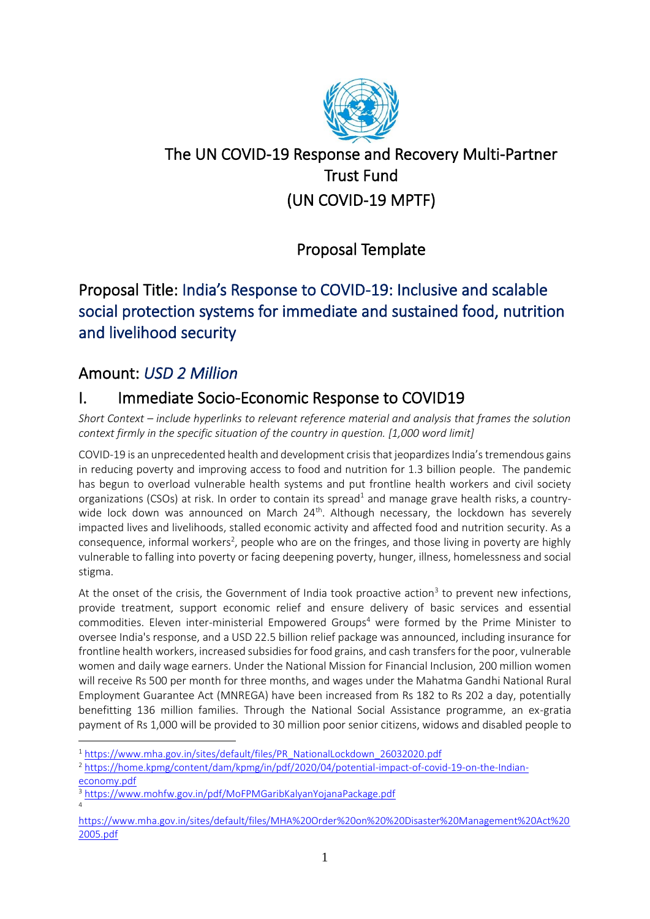

# The UN COVID-19 Response and Recovery Multi-Partner Trust Fund (UN COVID-19 MPTF)

# Proposal Template

# Proposal Title: India's Response to COVID-19: Inclusive and scalable social protection systems for immediate and sustained food, nutrition and livelihood security

# Amount: *USD 2 Million*

# I. Immediate Socio-Economic Response to COVID19

*Short Context – include hyperlinks to relevant reference material and analysis that frames the solution context firmly in the specific situation of the country in question. [1,000 word limit]*

COVID-19 is an unprecedented health and development crisis that jeopardizes India's tremendous gains in reducing poverty and improving access to food and nutrition for 1.3 billion people. The pandemic has begun to overload vulnerable health systems and put frontline health workers and civil society organizations (CSOs) at risk. In order to contain its spread<sup>1</sup> and manage grave health risks, a countrywide lock down was announced on March  $24<sup>th</sup>$ . Although necessary, the lockdown has severely impacted lives and livelihoods, stalled economic activity and affected food and nutrition security. As a consequence, informal workers<sup>2</sup>, people who are on the fringes, and those living in poverty are highly vulnerable to falling into poverty or facing deepening poverty, hunger, illness, homelessness and social stigma.

At the onset of the crisis, the Government of India took proactive action<sup>3</sup> to prevent new infections, provide treatment, support economic relief and ensure delivery of basic services and essential commodities. Eleven inter-ministerial Empowered Groups<sup>4</sup> were formed by the Prime Minister to oversee India's response, and a USD 22.5 billion relief package was announced, including insurance for frontline health workers, increased subsidies for food grains, and cash transfers for the poor, vulnerable women and daily wage earners. Under the National Mission for Financial Inclusion, 200 million women will receive Rs 500 per month for three months, and wages under the Mahatma Gandhi National Rural Employment Guarantee Act (MNREGA) have been increased from Rs 182 to Rs 202 a day, potentially benefitting 136 million families. Through the National Social Assistance programme, an ex-gratia payment of Rs 1,000 will be provided to 30 million poor senior citizens, widows and disabled people to

<sup>&</sup>lt;sup>1</sup> [https://www.mha.gov.in/sites/default/files/PR\\_NationalLockdown\\_26032020.pdf](https://www.mha.gov.in/sites/default/files/PR_NationalLockdown_26032020.pdf)

<sup>2</sup> [https://home.kpmg/content/dam/kpmg/in/pdf/2020/04/potential-impact-of-covid-19-on-the-Indian](https://home.kpmg/content/dam/kpmg/in/pdf/2020/04/potential-impact-of-covid-19-on-the-Indian-economy.pdf)[economy.pdf](https://home.kpmg/content/dam/kpmg/in/pdf/2020/04/potential-impact-of-covid-19-on-the-Indian-economy.pdf)

<sup>3</sup> <https://www.mohfw.gov.in/pdf/MoFPMGaribKalyanYojanaPackage.pdf> 4

[https://www.mha.gov.in/sites/default/files/MHA%20Order%20on%20%20Disaster%20Management%20Act%20](https://www.mha.gov.in/sites/default/files/MHA%20Order%20on%20%20Disaster%20Management%20Act%202005.pdf) [2005.pdf](https://www.mha.gov.in/sites/default/files/MHA%20Order%20on%20%20Disaster%20Management%20Act%202005.pdf)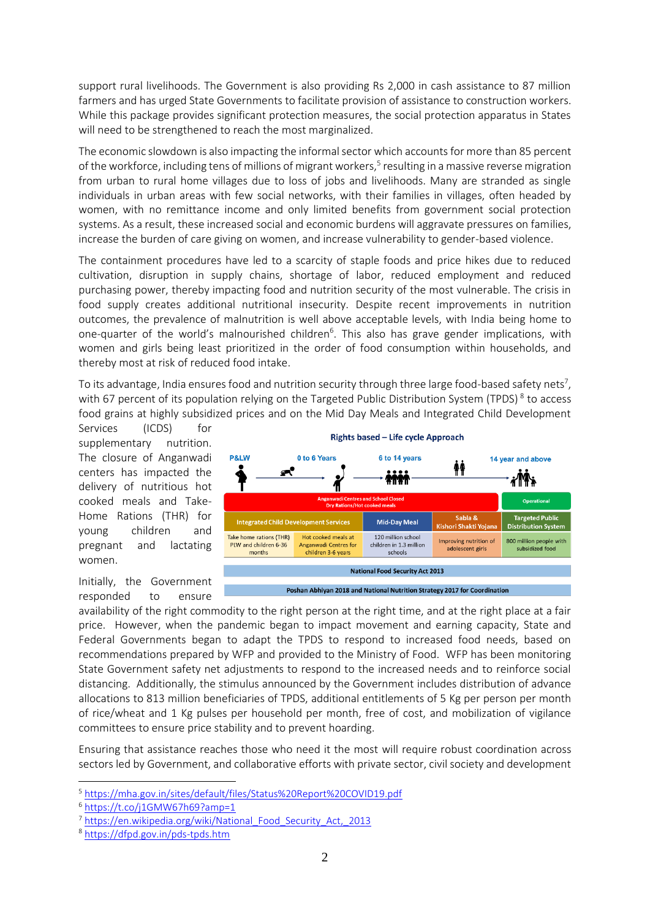support rural livelihoods. The Government is also providing Rs 2,000 in cash assistance to 87 million farmers and has urged State Governments to facilitate provision of assistance to construction workers. While this package provides significant protection measures, the social protection apparatus in States will need to be strengthened to reach the most marginalized.

The economic slowdown is also impacting the informal sector which accounts for more than 85 percent of the workforce, including tens of millions of migrant workers,<sup>5</sup> resulting in a massive reverse migration from urban to rural home villages due to loss of jobs and livelihoods. Many are stranded as single individuals in urban areas with few social networks, with their families in villages, often headed by women, with no remittance income and only limited benefits from government social protection systems. As a result, these increased social and economic burdens will aggravate pressures on families, increase the burden of care giving on women, and increase vulnerability to gender-based violence.

The containment procedures have led to a scarcity of staple foods and price hikes due to reduced cultivation, disruption in supply chains, shortage of labor, reduced employment and reduced purchasing power, thereby impacting food and nutrition security of the most vulnerable. The crisis in food supply creates additional nutritional insecurity. Despite recent improvements in nutrition outcomes, the prevalence of malnutrition is well above acceptable levels, with India being home to one-quarter of the world's malnourished children<sup>6</sup>. This also has grave gender implications, with women and girls being least prioritized in the order of food consumption within households, and thereby most at risk of reduced food intake.

To its advantage, India ensures food and nutrition security through three large food-based safety nets<sup>7</sup>, with 67 percent of its population relying on the Targeted Public Distribution System (TPDS)<sup>8</sup> to access food grains at highly subsidized prices and on the Mid Day Meals and Integrated Child Development

Services (ICDS) for supplementary nutrition. The closure of Anganwadi centers has impacted the delivery of nutritious hot cooked meals and Take-Home Rations (THR) for young children and pregnant and lactating women.



Initially, the Government responded to ensure

availability of the right commodity to the right person at the right time, and at the right place at a fair price. However, when the pandemic began to impact movement and earning capacity, State and Federal Governments began to adapt the TPDS to respond to increased food needs, based on recommendations prepared by WFP and provided to the Ministry of Food. WFP has been monitoring State Government safety net adjustments to respond to the increased needs and to reinforce social distancing. Additionally, the stimulus announced by the Government includes distribution of advance allocations to 813 million beneficiaries of TPDS, additional entitlements of 5 Kg per person per month of rice/wheat and 1 Kg pulses per household per month, free of cost, and mobilization of vigilance committees to ensure price stability and to prevent hoarding.

Ensuring that assistance reaches those who need it the most will require robust coordination across sectors led by Government, and collaborative efforts with private sector, civil society and development

<sup>5</sup> <https://mha.gov.in/sites/default/files/Status%20Report%20COVID19.pdf>

<sup>6</sup> <https://t.co/j1GMW67h69?amp=1>

<sup>&</sup>lt;sup>7</sup> [https://en.wikipedia.org/wiki/National\\_Food\\_Security\\_Act,\\_2013](https://en.wikipedia.org/wiki/National_Food_Security_Act,_2013)

<sup>8</sup> <https://dfpd.gov.in/pds-tpds.htm>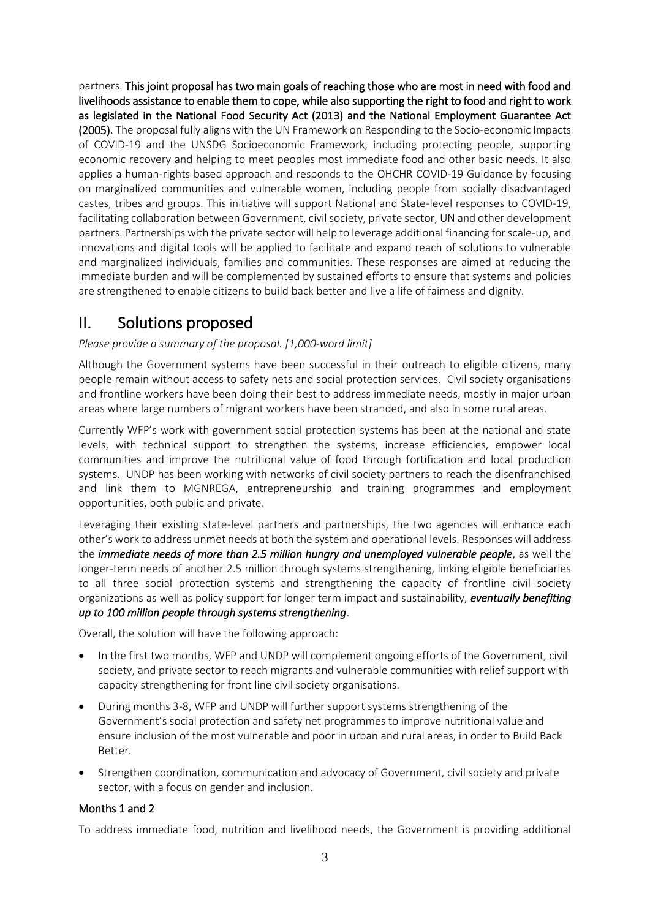partners. This joint proposal has two main goals of reaching those who are most in need with food and livelihoods assistance to enable them to cope, while also supporting the right to food and right to work as legislated in the National Food Security Act (2013) and the National Employment Guarantee Act (2005). The proposal fully aligns with the UN Framework on Responding to the Socio-economic Impacts of COVID-19 and the UNSDG Socioeconomic Framework, including protecting people, supporting economic recovery and helping to meet peoples most immediate food and other basic needs. It also applies a human-rights based approach and responds to the OHCHR COVID-19 Guidance by focusing on marginalized communities and vulnerable women, including people from socially disadvantaged castes, tribes and groups. This initiative will support National and State-level responses to COVID-19, facilitating collaboration between Government, civil society, private sector, UN and other development partners. Partnerships with the private sector will help to leverage additional financing for scale-up, and innovations and digital tools will be applied to facilitate and expand reach of solutions to vulnerable and marginalized individuals, families and communities. These responses are aimed at reducing the immediate burden and will be complemented by sustained efforts to ensure that systems and policies are strengthened to enable citizens to build back better and live a life of fairness and dignity.

## II. Solutions proposed

### *Please provide a summary of the proposal. [1,000-word limit]*

Although the Government systems have been successful in their outreach to eligible citizens, many people remain without access to safety nets and social protection services. Civil society organisations and frontline workers have been doing their best to address immediate needs, mostly in major urban areas where large numbers of migrant workers have been stranded, and also in some rural areas.

Currently WFP's work with government social protection systems has been at the national and state levels, with technical support to strengthen the systems, increase efficiencies, empower local communities and improve the nutritional value of food through fortification and local production systems. UNDP has been working with networks of civil society partners to reach the disenfranchised and link them to MGNREGA, entrepreneurship and training programmes and employment opportunities, both public and private.

Leveraging their existing state-level partners and partnerships, the two agencies will enhance each other's work to address unmet needs at both the system and operational levels. Responses will address the *immediate needs of more than 2.5 million hungry and unemployed vulnerable people*, as well the longer-term needs of another 2.5 million through systems strengthening, linking eligible beneficiaries to all three social protection systems and strengthening the capacity of frontline civil society organizations as well as policy support for longer term impact and sustainability, *eventually benefiting up to 100 million people through systems strengthening*.

Overall, the solution will have the following approach:

- In the first two months, WFP and UNDP will complement ongoing efforts of the Government, civil society, and private sector to reach migrants and vulnerable communities with relief support with capacity strengthening for front line civil society organisations.
- During months 3-8, WFP and UNDP will further support systems strengthening of the Government's social protection and safety net programmes to improve nutritional value and ensure inclusion of the most vulnerable and poor in urban and rural areas, in order to Build Back Better.
- Strengthen coordination, communication and advocacy of Government, civil society and private sector, with a focus on gender and inclusion.

## Months 1 and 2

To address immediate food, nutrition and livelihood needs, the Government is providing additional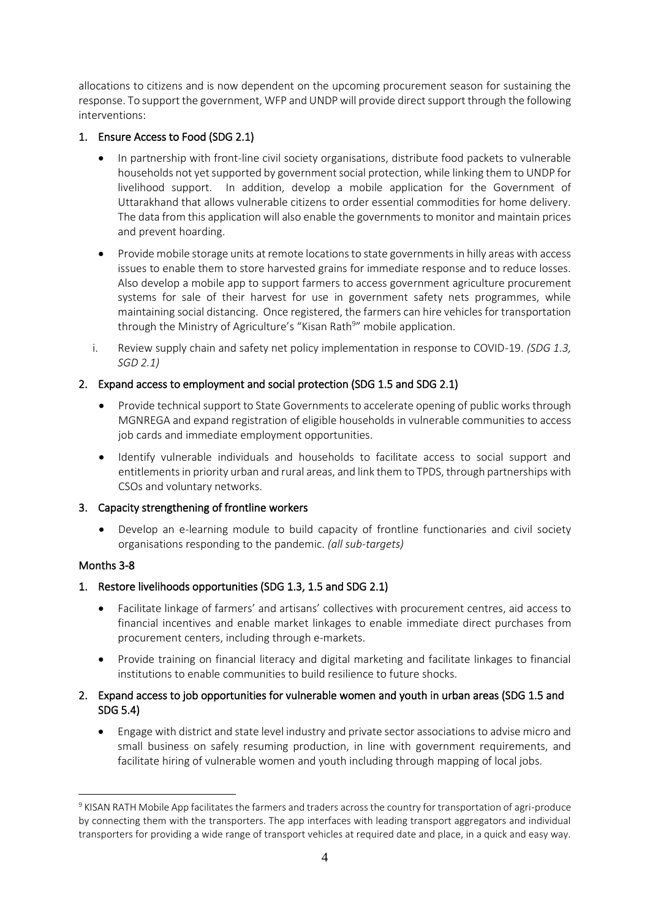allocations to citizens and is now dependent on the upcoming procurement season for sustaining the response. To support the government, WFP and UNDP will provide direct support through the following interventions:

## 1. Ensure Access to Food (SDG 2.1)

- In partnership with front-line civil society organisations, distribute food packets to vulnerable households not yet supported by government social protection, while linking them to UNDP for livelihood support. In addition, develop a mobile application for the Government of Uttarakhand that allows vulnerable citizens to order essential commodities for home delivery. The data from this application will also enable the governments to monitor and maintain prices and prevent hoarding.
- Provide mobile storage units at remote locations to state governments in hilly areas with access issues to enable them to store harvested grains for immediate response and to reduce losses. Also develop a mobile app to support farmers to access government agriculture procurement systems for sale of their harvest for use in government safety nets programmes, while maintaining social distancing. Once registered, the farmers can hire vehicles for transportation through the Ministry of Agriculture's "Kisan Rath<sup>9</sup>" mobile application.
- i. Review supply chain and safety net policy implementation in response to COVID-19. *(SDG 1.3, SGD 2.1)*

## 2. Expand access to employment and social protection (SDG 1.5 and SDG 2.1)

- Provide technical support to State Governments to accelerate opening of public works through MGNREGA and expand registration of eligible households in vulnerable communities to access job cards and immediate employment opportunities.
- Identify vulnerable individuals and households to facilitate access to social support and entitlements in priority urban and rural areas, and link them to TPDS, through partnerships with CSOs and voluntary networks.

## 3. Capacity strengthening of frontline workers

• Develop an e-learning module to build capacity of frontline functionaries and civil society organisations responding to the pandemic. *(all sub-targets)*

## Months 3-8

## 1. Restore livelihoods opportunities (SDG 1.3, 1.5 and SDG 2.1)

- Facilitate linkage of farmers' and artisans' collectives with procurement centres, aid access to financial incentives and enable market linkages to enable immediate direct purchases from procurement centers, including through e-markets.
- Provide training on financial literacy and digital marketing and facilitate linkages to financial institutions to enable communities to build resilience to future shocks.

### 2. Expand access to job opportunities for vulnerable women and youth in urban areas (SDG 1.5 and SDG 5.4)

• Engage with district and state level industry and private sector associations to advise micro and small business on safely resuming production, in line with government requirements, and facilitate hiring of vulnerable women and youth including through mapping of local jobs.

<sup>9</sup> KISAN RATH Mobile App facilitates the farmers and traders across the country for transportation of agri-produce by connecting them with the transporters. The app interfaces with leading transport aggregators and individual transporters for providing a wide range of transport vehicles at required date and place, in a quick and easy way.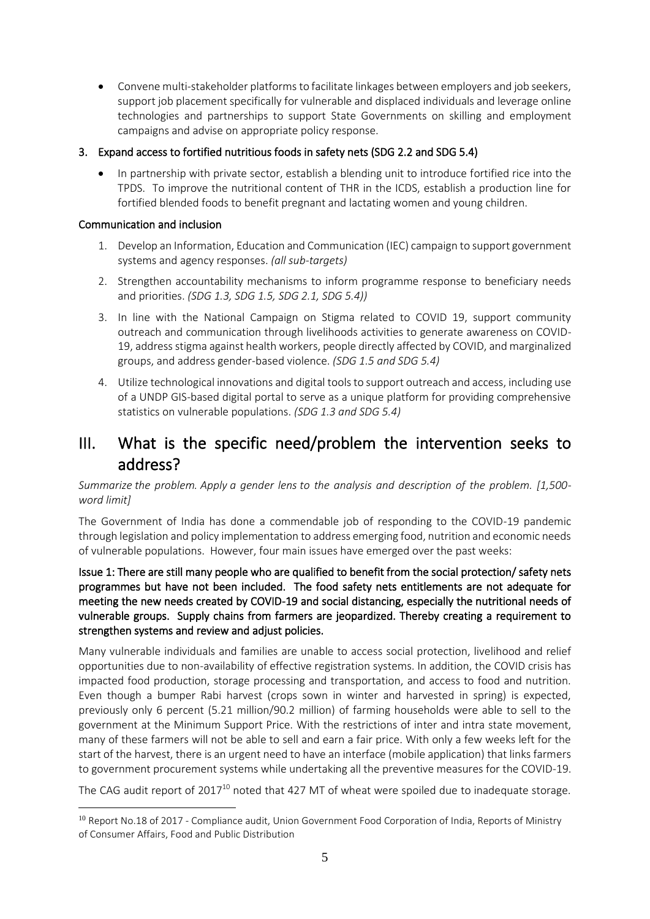• Convene multi-stakeholder platforms to facilitate linkages between employers and job seekers, support job placement specifically for vulnerable and displaced individuals and leverage online technologies and partnerships to support State Governments on skilling and employment campaigns and advise on appropriate policy response.

### 3. Expand access to fortified nutritious foods in safety nets (SDG 2.2 and SDG 5.4)

• In partnership with private sector, establish a blending unit to introduce fortified rice into the TPDS. To improve the nutritional content of THR in the ICDS, establish a production line for fortified blended foods to benefit pregnant and lactating women and young children.

### Communication and inclusion

- 1. Develop an Information, Education and Communication (IEC) campaign to support government systems and agency responses. *(all sub-targets)*
- 2. Strengthen accountability mechanisms to inform programme response to beneficiary needs and priorities. *(SDG 1.3, SDG 1.5, SDG 2.1, SDG 5.4))*
- 3. In line with the National Campaign on Stigma related to COVID 19, support community outreach and communication through livelihoods activities to generate awareness on COVID-19, address stigma against health workers, people directly affected by COVID, and marginalized groups, and address gender-based violence. *(SDG 1.5 and SDG 5.4)*
- 4. Utilize technological innovations and digital tools to support outreach and access, including use of a UNDP GIS-based digital portal to serve as a unique platform for providing comprehensive statistics on vulnerable populations. *(SDG 1.3 and SDG 5.4)*

# III. What is the specific need/problem the intervention seeks to address?

*Summarize the problem. Apply [a gender lens](https://www.unwomen.org/en/news/stories/2020/3/news-checklist-for-covid-19-response-by-ded-regner) to the analysis and description of the problem. [1,500 word limit]*

The Government of India has done a commendable job of responding to the COVID-19 pandemic through legislation and policy implementation to address emerging food, nutrition and economic needs of vulnerable populations. However, four main issues have emerged over the past weeks:

Issue 1: There are still many people who are qualified to benefit from the social protection/ safety nets programmes but have not been included. The food safety nets entitlements are not adequate for meeting the new needs created by COVID-19 and social distancing, especially the nutritional needs of vulnerable groups. Supply chains from farmers are jeopardized. Thereby creating a requirement to strengthen systems and review and adjust policies.

Many vulnerable individuals and families are unable to access social protection, livelihood and relief opportunities due to non-availability of effective registration systems. In addition, the COVID crisis has impacted food production, storage processing and transportation, and access to food and nutrition. Even though a bumper Rabi harvest (crops sown in winter and harvested in spring) is expected, previously only 6 percent (5.21 million/90.2 million) of farming households were able to sell to the government at the Minimum Support Price. With the restrictions of inter and intra state movement, many of these farmers will not be able to sell and earn a fair price. With only a few weeks left for the start of the harvest, there is an urgent need to have an interface (mobile application) that links farmers to government procurement systems while undertaking all the preventive measures for the COVID-19.

The CAG audit report of 2017<sup>10</sup> noted that 427 MT of wheat were spoiled due to inadequate storage.

<sup>&</sup>lt;sup>10</sup> Report No.18 of 2017 - Compliance audit, Union Government Food Corporation of India, Reports of Ministry of Consumer Affairs, Food and Public Distribution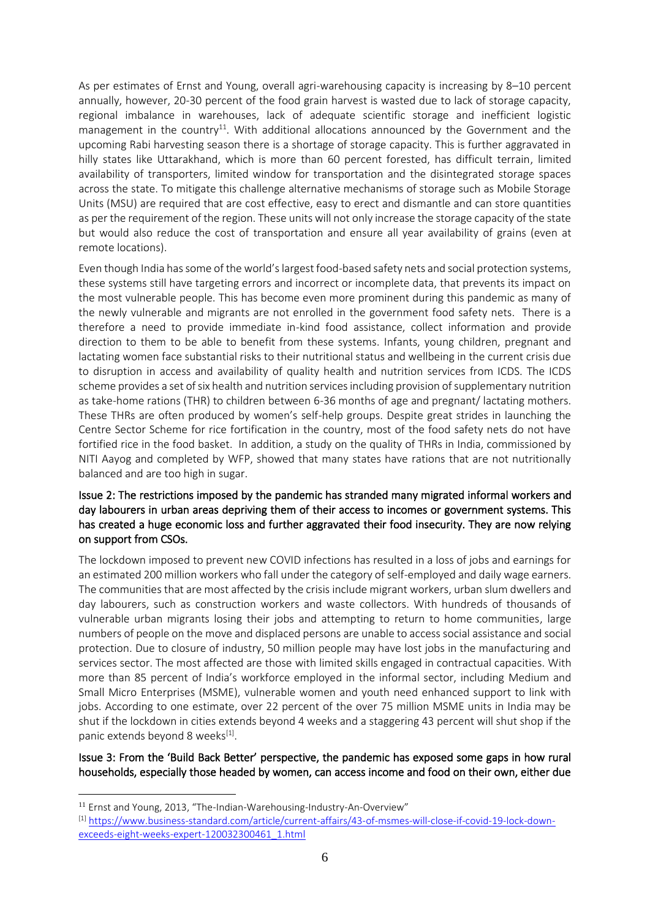As per estimates of Ernst and Young, overall agri-warehousing capacity is increasing by 8–10 percent annually, however, 20-30 percent of the food grain harvest is wasted due to lack of storage capacity, regional imbalance in warehouses, lack of adequate scientific storage and inefficient logistic management in the country<sup>11</sup>. With additional allocations announced by the Government and the upcoming Rabi harvesting season there is a shortage of storage capacity. This is further aggravated in hilly states like Uttarakhand, which is more than 60 percent forested, has difficult terrain, limited availability of transporters, limited window for transportation and the disintegrated storage spaces across the state. To mitigate this challenge alternative mechanisms of storage such as Mobile Storage Units (MSU) are required that are cost effective, easy to erect and dismantle and can store quantities as per the requirement of the region. These units will not only increase the storage capacity of the state but would also reduce the cost of transportation and ensure all year availability of grains (even at remote locations).

Even though India has some of the world's largest food-based safety nets and social protection systems, these systems still have targeting errors and incorrect or incomplete data, that prevents its impact on the most vulnerable people. This has become even more prominent during this pandemic as many of the newly vulnerable and migrants are not enrolled in the government food safety nets. There is a therefore a need to provide immediate in-kind food assistance, collect information and provide direction to them to be able to benefit from these systems. Infants, young children, pregnant and lactating women face substantial risks to their nutritional status and wellbeing in the current crisis due to disruption in access and availability of quality health and nutrition services from ICDS. The ICDS scheme provides a set of six health and nutrition services including provision of supplementary nutrition as take-home rations (THR) to children between 6-36 months of age and pregnant/ lactating mothers. These THRs are often produced by women's self-help groups. Despite great strides in launching the Centre Sector Scheme for rice fortification in the country, most of the food safety nets do not have fortified rice in the food basket. In addition, a study on the quality of THRs in India, commissioned by NITI Aayog and completed by WFP, showed that many states have rations that are not nutritionally balanced and are too high in sugar.

### Issue 2: The restrictions imposed by the pandemic has stranded many migrated informal workers and day labourers in urban areas depriving them of their access to incomes or government systems. This has created a huge economic loss and further aggravated their food insecurity. They are now relying on support from CSOs.

The lockdown imposed to prevent new COVID infections has resulted in a loss of jobs and earnings for an estimated 200 million workers who fall under the category of self-employed and daily wage earners. The communities that are most affected by the crisis include migrant workers, urban slum dwellers and day labourers, such as construction workers and waste collectors. With hundreds of thousands of vulnerable urban migrants losing their jobs and attempting to return to home communities, large numbers of people on the move and displaced persons are unable to access social assistance and social protection. Due to closure of industry, 50 million people may have lost jobs in the manufacturing and services sector. The most affected are those with limited skills engaged in contractual capacities. With more than 85 percent of India's workforce employed in the informal sector, including Medium and Small Micro Enterprises (MSME), vulnerable women and youth need enhanced support to link with jobs. According to one estimate, over 22 percent of the over 75 million MSME units in India may be shut if the lockdown in cities extends beyond 4 weeks and a staggering 43 percent will shut shop if the panic extends beyond 8 weeks<sup>[1]</sup>.

### Issue 3: From the 'Build Back Better' perspective, the pandemic has exposed some gaps in how rural households, especially those headed by women, can access income and food on their own, either due

<sup>11</sup> Ernst and Young, 2013, "The-Indian-Warehousing-Industry-An-Overview"

<sup>[1]</sup> [https://www.business-standard.com/article/current-affairs/43-of-msmes-will-close-if-covid-19-lock-down](https://eur03.safelinks.protection.outlook.com/?url=https%3A%2F%2Fwww.business-standard.com%2Farticle%2Fcurrent-affairs%2F43-of-msmes-will-close-if-covid-19-lock-down-exceeds-eight-weeks-expert-120032300461_1.html&data=02%7C01%7Ceric.kenefick%40wfp.org%7Cda8731e17c4a4812d6ac08d7e7759f7a%7C462ad9aed7d94206b87471b1e079776f%7C0%7C0%7C637232364690984603&sdata=rCoba9LtwqC7tBPyE7UuN%2FDWjunQ6d3vmooAKtNtPZc%3D&reserved=0)[exceeds-eight-weeks-expert-120032300461\\_1.html](https://eur03.safelinks.protection.outlook.com/?url=https%3A%2F%2Fwww.business-standard.com%2Farticle%2Fcurrent-affairs%2F43-of-msmes-will-close-if-covid-19-lock-down-exceeds-eight-weeks-expert-120032300461_1.html&data=02%7C01%7Ceric.kenefick%40wfp.org%7Cda8731e17c4a4812d6ac08d7e7759f7a%7C462ad9aed7d94206b87471b1e079776f%7C0%7C0%7C637232364690984603&sdata=rCoba9LtwqC7tBPyE7UuN%2FDWjunQ6d3vmooAKtNtPZc%3D&reserved=0)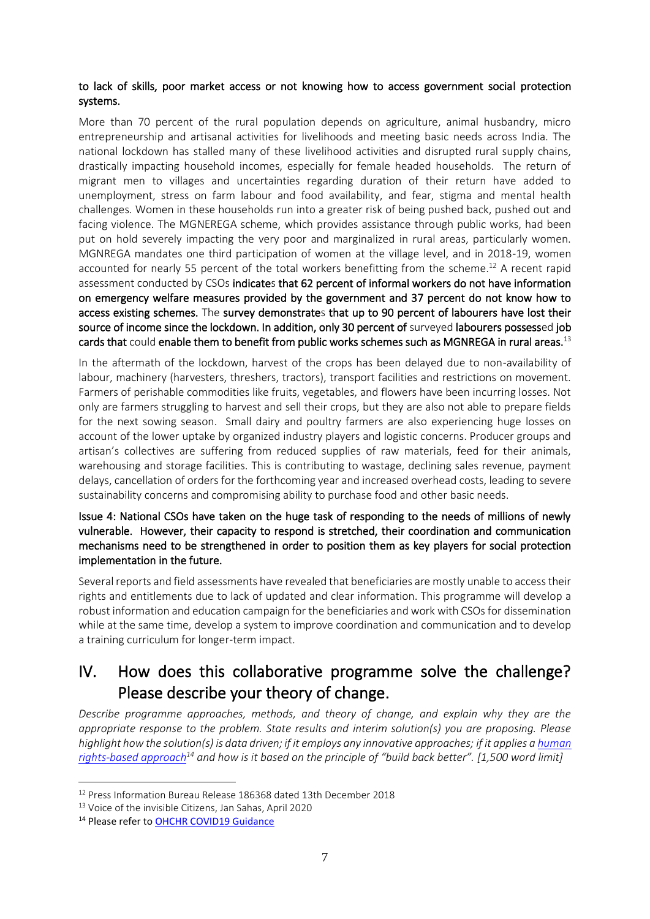### to lack of skills, poor market access or not knowing how to access government social protection systems.

More than 70 percent of the rural population depends on agriculture, animal husbandry, micro entrepreneurship and artisanal activities for livelihoods and meeting basic needs across India. The national lockdown has stalled many of these livelihood activities and disrupted rural supply chains, drastically impacting household incomes, especially for female headed households. The return of migrant men to villages and uncertainties regarding duration of their return have added to unemployment, stress on farm labour and food availability, and fear, stigma and mental health challenges. Women in these households run into a greater risk of being pushed back, pushed out and facing violence. The MGNEREGA scheme, which provides assistance through public works, had been put on hold severely impacting the very poor and marginalized in rural areas, particularly women. MGNREGA mandates one third participation of women at the village level, and in 2018-19, women accounted for nearly 55 percent of the total workers benefitting from the scheme.<sup>12</sup> A recent rapid assessment conducted by CSOs indicates that 62 percent of informal workers do not have information on emergency welfare measures provided by the government and 37 percent do not know how to access existing schemes. The survey demonstrates that up to 90 percent of labourers have lost their source of income since the lockdown. In addition, only 30 percent of surveyed labourers possessed job cards that could enable them to benefit from public works schemes such as MGNREGA in rural areas.<sup>13</sup>

In the aftermath of the lockdown, harvest of the crops has been delayed due to non-availability of labour, machinery (harvesters, threshers, tractors), transport facilities and restrictions on movement. Farmers of perishable commodities like fruits, vegetables, and flowers have been incurring losses. Not only are farmers struggling to harvest and sell their crops, but they are also not able to prepare fields for the next sowing season. Small dairy and poultry farmers are also experiencing huge losses on account of the lower uptake by organized industry players and logistic concerns. Producer groups and artisan's collectives are suffering from reduced supplies of raw materials, feed for their animals, warehousing and storage facilities. This is contributing to wastage, declining sales revenue, payment delays, cancellation of orders for the forthcoming year and increased overhead costs, leading to severe sustainability concerns and compromising ability to purchase food and other basic needs.

Issue 4: National CSOs have taken on the huge task of responding to the needs of millions of newly vulnerable. However, their capacity to respond is stretched, their coordination and communication mechanisms need to be strengthened in order to position them as key players for social protection implementation in the future.

Several reports and field assessments have revealed that beneficiaries are mostly unable to access their rights and entitlements due to lack of updated and clear information. This programme will develop a robust information and education campaign for the beneficiaries and work with CSOs for dissemination while at the same time, develop a system to improve coordination and communication and to develop a training curriculum for longer-term impact.

## IV. How does this collaborative programme solve the challenge? Please describe your theory of change.

*Describe programme approaches, methods, and theory of change, and explain why they are the appropriate response to the problem. State results and interim solution(s) you are proposing. Please highlight how the solution(s) is data driven; if it employs any innovative approaches; if it applies a human [rights-based approach](https://www.ohchr.org/EN/NewsEvents/Pages/COVID19Guidance.aspx)<sup>14</sup> and how is it based on the principle of "build back better". [1,500 word limit]*

<sup>12</sup> Press Information Bureau Release 186368 dated 13th December 2018

<sup>13</sup> Voice of the invisible Citizens, Jan Sahas, April 2020

<sup>&</sup>lt;sup>14</sup> Please refer to OHCHR COVID19 Guidance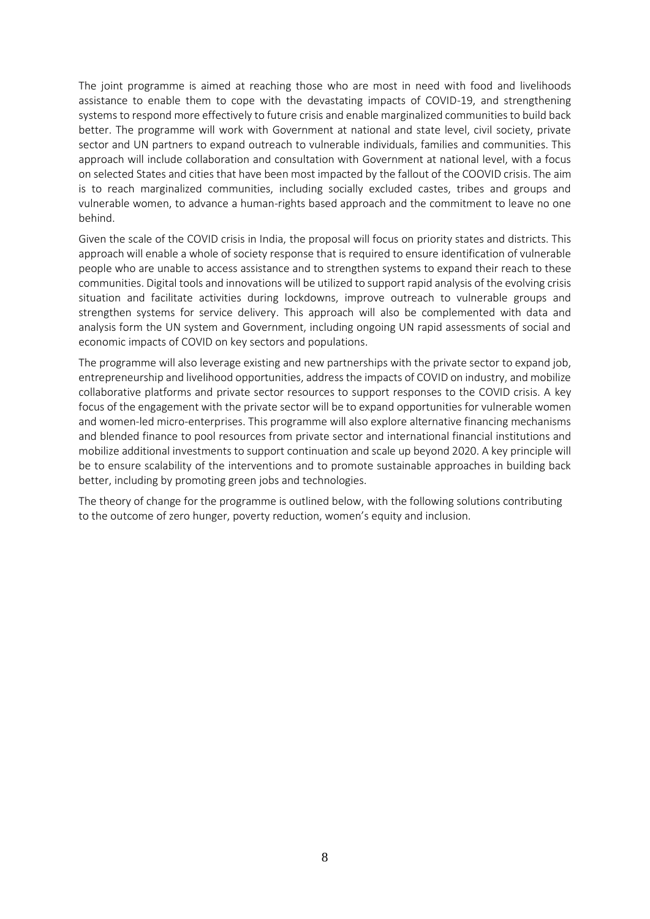The joint programme is aimed at reaching those who are most in need with food and livelihoods assistance to enable them to cope with the devastating impacts of COVID-19, and strengthening systems to respond more effectively to future crisis and enable marginalized communities to build back better. The programme will work with Government at national and state level, civil society, private sector and UN partners to expand outreach to vulnerable individuals, families and communities. This approach will include collaboration and consultation with Government at national level, with a focus on selected States and cities that have been most impacted by the fallout of the COOVID crisis. The aim is to reach marginalized communities, including socially excluded castes, tribes and groups and vulnerable women, to advance a human-rights based approach and the commitment to leave no one behind.

Given the scale of the COVID crisis in India, the proposal will focus on priority states and districts. This approach will enable a whole of society response that is required to ensure identification of vulnerable people who are unable to access assistance and to strengthen systems to expand their reach to these communities. Digital tools and innovations will be utilized to support rapid analysis of the evolving crisis situation and facilitate activities during lockdowns, improve outreach to vulnerable groups and strengthen systems for service delivery. This approach will also be complemented with data and analysis form the UN system and Government, including ongoing UN rapid assessments of social and economic impacts of COVID on key sectors and populations.

The programme will also leverage existing and new partnerships with the private sector to expand job, entrepreneurship and livelihood opportunities, address the impacts of COVID on industry, and mobilize collaborative platforms and private sector resources to support responses to the COVID crisis. A key focus of the engagement with the private sector will be to expand opportunities for vulnerable women and women-led micro-enterprises. This programme will also explore alternative financing mechanisms and blended finance to pool resources from private sector and international financial institutions and mobilize additional investments to support continuation and scale up beyond 2020. A key principle will be to ensure scalability of the interventions and to promote sustainable approaches in building back better, including by promoting green jobs and technologies.

The theory of change for the programme is outlined below, with the following solutions contributing to the outcome of zero hunger, poverty reduction, women's equity and inclusion.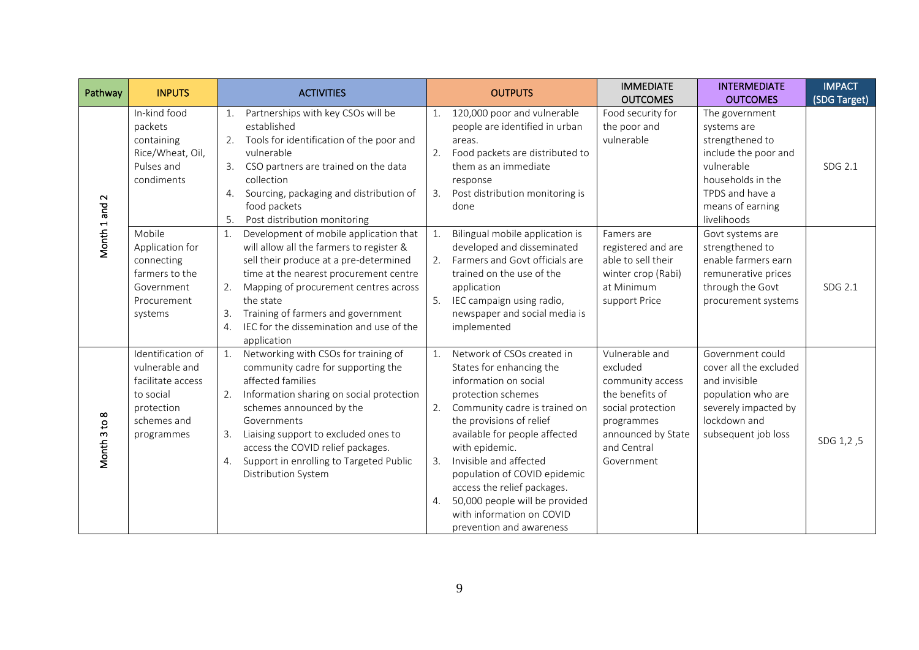| Pathway                | <b>INPUTS</b>                                                                                                    | <b>ACTIVITIES</b>                                                                                                                                                                                                                                                                                                                                             | <b>IMMEDIATE</b><br><b>INTERMEDIATE</b><br><b>OUTPUTS</b><br><b>OUTCOMES</b><br><b>OUTCOMES</b>                                                                                                                                                                                                                                                                                                                                                                                                                                                                                                                                                                                                                                            | <b>IMPACT</b><br>(SDG Target) |
|------------------------|------------------------------------------------------------------------------------------------------------------|---------------------------------------------------------------------------------------------------------------------------------------------------------------------------------------------------------------------------------------------------------------------------------------------------------------------------------------------------------------|--------------------------------------------------------------------------------------------------------------------------------------------------------------------------------------------------------------------------------------------------------------------------------------------------------------------------------------------------------------------------------------------------------------------------------------------------------------------------------------------------------------------------------------------------------------------------------------------------------------------------------------------------------------------------------------------------------------------------------------------|-------------------------------|
| $\sim$<br>Month 1 and  | In-kind food<br>packets<br>containing<br>Rice/Wheat, Oil,<br>Pulses and<br>condiments                            | Partnerships with key CSOs will be<br>1.<br>established<br>Tools for identification of the poor and<br>2.<br>vulnerable<br>CSO partners are trained on the data<br>3.<br>collection<br>Sourcing, packaging and distribution of<br>4.<br>food packets<br>Post distribution monitoring<br>5.                                                                    | 120,000 poor and vulnerable<br>Food security for<br>The government<br>people are identified in urban<br>the poor and<br>systems are<br>vulnerable<br>strengthened to<br>areas.<br>Food packets are distributed to<br>include the poor and<br>2.<br>them as an immediate<br>vulnerable<br>households in the<br>response<br>Post distribution monitoring is<br>TPDS and have a<br>3.<br>done<br>means of earning<br>livelihoods                                                                                                                                                                                                                                                                                                              | SDG 2.1                       |
|                        | Mobile<br>Application for<br>connecting<br>farmers to the<br>Government<br>Procurement<br>systems                | Development of mobile application that<br>1.<br>will allow all the farmers to register &<br>sell their produce at a pre-determined<br>time at the nearest procurement centre<br>Mapping of procurement centres across<br>2.<br>the state<br>Training of farmers and government<br>3.<br>IEC for the dissemination and use of the<br>4.<br>application         | Bilingual mobile application is<br>Govt systems are<br>Famers are<br>1.<br>developed and disseminated<br>registered and are<br>strengthened to<br>Farmers and Govt officials are<br>enable farmers earn<br>able to sell their<br>trained on the use of the<br>winter crop (Rabi)<br>remunerative prices<br>application<br>at Minimum<br>through the Govt<br>5.<br>IEC campaign using radio,<br>support Price<br>procurement systems<br>newspaper and social media is<br>implemented                                                                                                                                                                                                                                                        | SDG 2.1                       |
| $\infty$<br>Month 3 to | Identification of<br>vulnerable and<br>facilitate access<br>to social<br>protection<br>schemes and<br>programmes | Networking with CSOs for training of<br>1.<br>community cadre for supporting the<br>affected families<br>Information sharing on social protection<br>2.<br>schemes announced by the<br>Governments<br>Liaising support to excluded ones to<br>3.<br>access the COVID relief packages.<br>Support in enrolling to Targeted Public<br>4.<br>Distribution System | Network of CSOs created in<br>Vulnerable and<br>Government could<br>States for enhancing the<br>excluded<br>cover all the excluded<br>information on social<br>and invisible<br>community access<br>protection schemes<br>the benefits of<br>population who are<br>Community cadre is trained on<br>severely impacted by<br>2.<br>social protection<br>lockdown and<br>the provisions of relief<br>programmes<br>available for people affected<br>announced by State<br>subsequent job loss<br>with epidemic.<br>and Central<br>Invisible and affected<br>3.<br>Government<br>population of COVID epidemic<br>access the relief packages.<br>50,000 people will be provided<br>4.<br>with information on COVID<br>prevention and awareness | SDG 1,2,5                     |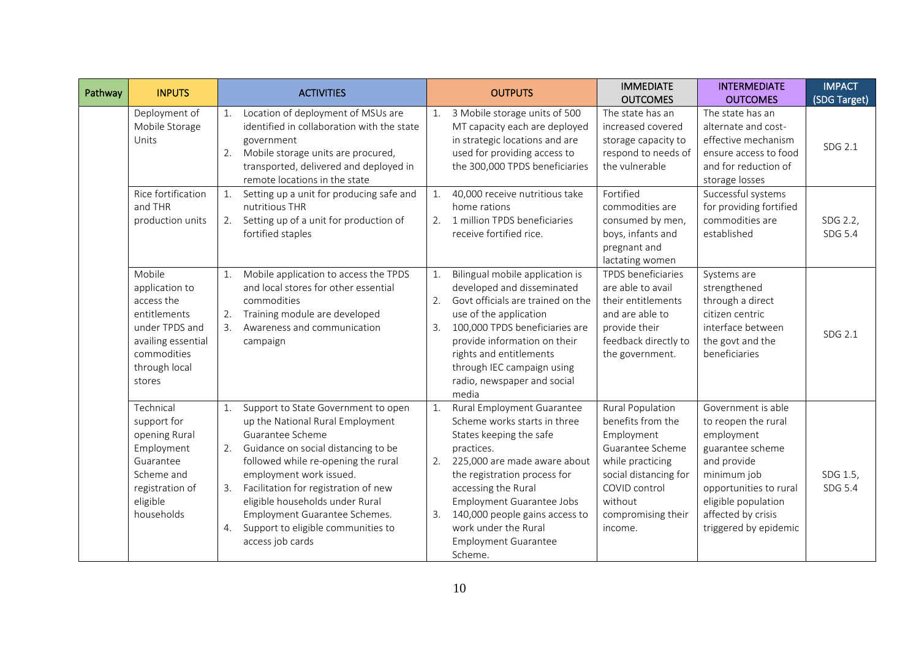| Pathway | <b>INPUTS</b>                                                                                                                            | <b>ACTIVITIES</b><br><b>OUTPUTS</b>                                                                                                                                                                                                                                                                                                                                                                                                                                                                                                                                                                                                                                                                                                                        | <b>IMMEDIATE</b><br><b>OUTCOMES</b>                                                                                                                                                      | <b>INTERMEDIATE</b><br><b>OUTCOMES</b>                                                                                                                                                                    | <b>IMPACT</b><br>(SDG Target) |
|---------|------------------------------------------------------------------------------------------------------------------------------------------|------------------------------------------------------------------------------------------------------------------------------------------------------------------------------------------------------------------------------------------------------------------------------------------------------------------------------------------------------------------------------------------------------------------------------------------------------------------------------------------------------------------------------------------------------------------------------------------------------------------------------------------------------------------------------------------------------------------------------------------------------------|------------------------------------------------------------------------------------------------------------------------------------------------------------------------------------------|-----------------------------------------------------------------------------------------------------------------------------------------------------------------------------------------------------------|-------------------------------|
|         | Deployment of<br>Mobile Storage<br>Units                                                                                                 | Location of deployment of MSUs are<br>3 Mobile storage units of 500<br>1.<br>identified in collaboration with the state<br>MT capacity each are deployed<br>in strategic locations and are<br>government<br>Mobile storage units are procured,<br>used for providing access to<br>2.<br>transported, delivered and deployed in<br>the 300,000 TPDS beneficiaries<br>remote locations in the state                                                                                                                                                                                                                                                                                                                                                          | The state has an<br>increased covered<br>storage capacity to<br>respond to needs of<br>the vulnerable                                                                                    | The state has an<br>alternate and cost-<br>effective mechanism<br>ensure access to food<br>and for reduction of<br>storage losses                                                                         | SDG 2.1                       |
|         | Rice fortification<br>and THR<br>production units                                                                                        | Setting up a unit for producing safe and<br>40,000 receive nutritious take<br>1.<br>1.<br>nutritious THR<br>home rations<br>Setting up of a unit for production of<br>1 million TPDS beneficiaries<br>2.<br>2.<br>fortified staples<br>receive fortified rice.                                                                                                                                                                                                                                                                                                                                                                                                                                                                                             | Fortified<br>commodities are<br>consumed by men,<br>boys, infants and<br>pregnant and<br>lactating women                                                                                 | Successful systems<br>for providing fortified<br>commodities are<br>established                                                                                                                           | SDG 2.2,<br>SDG 5.4           |
|         | Mobile<br>application to<br>access the<br>entitlements<br>under TPDS and<br>availing essential<br>commodities<br>through local<br>stores | Mobile application to access the TPDS<br>Bilingual mobile application is<br>1.<br>1.<br>and local stores for other essential<br>developed and disseminated<br>Govt officials are trained on the<br>commodities<br>2.<br>Training module are developed<br>use of the application<br>2.<br>Awareness and communication<br>100,000 TPDS beneficiaries are<br>3.<br>3.<br>provide information on their<br>campaign<br>rights and entitlements<br>through IEC campaign using<br>radio, newspaper and social<br>media                                                                                                                                                                                                                                            | TPDS beneficiaries<br>are able to avail<br>their entitlements<br>and are able to<br>provide their<br>feedback directly to<br>the government.                                             | Systems are<br>strengthened<br>through a direct<br>citizen centric<br>interface between<br>the govt and the<br>beneficiaries                                                                              | SDG 2.1                       |
|         | Technical<br>support for<br>opening Rural<br>Employment<br>Guarantee<br>Scheme and<br>registration of<br>eligible<br>households          | Support to State Government to open<br>Rural Employment Guarantee<br>1.<br>1.<br>up the National Rural Employment<br>Scheme works starts in three<br>Guarantee Scheme<br>States keeping the safe<br>Guidance on social distancing to be<br>2.<br>practices.<br>followed while re-opening the rural<br>225,000 are made aware about<br>2.<br>employment work issued.<br>the registration process for<br>Facilitation for registration of new<br>accessing the Rural<br>3.<br>eligible households under Rural<br><b>Employment Guarantee Jobs</b><br>Employment Guarantee Schemes.<br>140,000 people gains access to<br>3.<br>Support to eligible communities to<br>work under the Rural<br>4.<br>access job cards<br><b>Employment Guarantee</b><br>Scheme. | <b>Rural Population</b><br>benefits from the<br>Employment<br>Guarantee Scheme<br>while practicing<br>social distancing for<br>COVID control<br>without<br>compromising their<br>income. | Government is able<br>to reopen the rural<br>employment<br>guarantee scheme<br>and provide<br>minimum job<br>opportunities to rural<br>eligible population<br>affected by crisis<br>triggered by epidemic | SDG 1.5,<br>SDG 5.4           |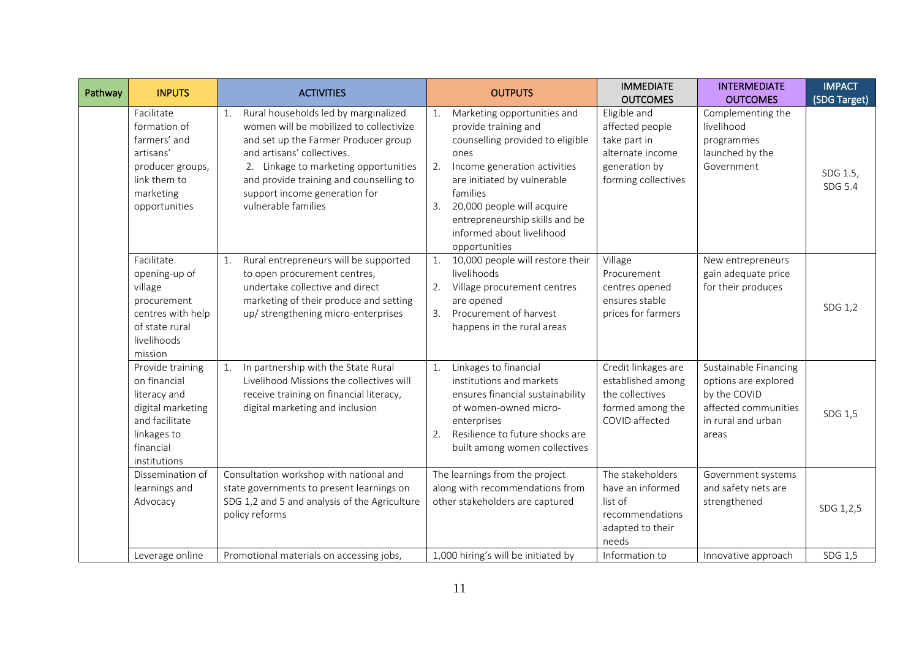| Pathway | <b>INPUTS</b>                                                                                                                       | <b>ACTIVITIES</b>                                                                                                                                                                                                                                                                                       | <b>OUTPUTS</b>                                                                                                                                                                                                                                                                                       | <b>IMMEDIATE</b><br><b>OUTCOMES</b>                                                                         | <b>INTERMEDIATE</b><br><b>OUTCOMES</b>                                                                               | <b>IMPACT</b><br>(SDG Target) |
|---------|-------------------------------------------------------------------------------------------------------------------------------------|---------------------------------------------------------------------------------------------------------------------------------------------------------------------------------------------------------------------------------------------------------------------------------------------------------|------------------------------------------------------------------------------------------------------------------------------------------------------------------------------------------------------------------------------------------------------------------------------------------------------|-------------------------------------------------------------------------------------------------------------|----------------------------------------------------------------------------------------------------------------------|-------------------------------|
|         | Facilitate<br>formation of<br>farmers' and<br>artisans'<br>producer groups,<br>link them to<br>marketing<br>opportunities           | Rural households led by marginalized<br>1.<br>women will be mobilized to collectivize<br>and set up the Farmer Producer group<br>and artisans' collectives.<br>2. Linkage to marketing opportunities<br>and provide training and counselling to<br>support income generation for<br>vulnerable families | Marketing opportunities and<br>provide training and<br>counselling provided to eligible<br>ones<br>Income generation activities<br>2.<br>are initiated by vulnerable<br>families<br>20,000 people will acquire<br>3.<br>entrepreneurship skills and be<br>informed about livelihood<br>opportunities | Eligible and<br>affected people<br>take part in<br>alternate income<br>generation by<br>forming collectives | Complementing the<br>livelihood<br>programmes<br>launched by the<br>Government                                       | SDG 1.5,<br>SDG 5.4           |
|         | Facilitate<br>opening-up of<br>village<br>procurement<br>centres with help<br>of state rural<br>livelihoods<br>mission              | Rural entrepreneurs will be supported<br>1.<br>to open procurement centres,<br>undertake collective and direct<br>marketing of their produce and setting<br>up/ strengthening micro-enterprises                                                                                                         | 10,000 people will restore their<br>livelihoods<br>2.<br>Village procurement centres<br>are opened<br>Procurement of harvest<br>3.<br>happens in the rural areas                                                                                                                                     | Village<br>Procurement<br>centres opened<br>ensures stable<br>prices for farmers                            | New entrepreneurs<br>gain adequate price<br>for their produces                                                       | SDG 1,2                       |
|         | Provide training<br>on financial<br>literacy and<br>digital marketing<br>and facilitate<br>linkages to<br>financial<br>institutions | In partnership with the State Rural<br>1.<br>Livelihood Missions the collectives will<br>receive training on financial literacy,<br>digital marketing and inclusion                                                                                                                                     | 1.<br>Linkages to financial<br>institutions and markets<br>ensures financial sustainability<br>of women-owned micro-<br>enterprises<br>Resilience to future shocks are<br>2.<br>built among women collectives                                                                                        | Credit linkages are<br>established among<br>the collectives<br>formed among the<br>COVID affected           | Sustainable Financing<br>options are explored<br>by the COVID<br>affected communities<br>in rural and urban<br>areas | SDG 1,5                       |
|         | Dissemination of<br>learnings and<br>Advocacy                                                                                       | Consultation workshop with national and<br>state governments to present learnings on<br>SDG 1,2 and 5 and analysis of the Agriculture<br>policy reforms                                                                                                                                                 | The learnings from the project<br>along with recommendations from<br>other stakeholders are captured                                                                                                                                                                                                 | The stakeholders<br>have an informed<br>list of<br>recommendations<br>adapted to their<br>needs             | Government systems<br>and safety nets are<br>strengthened                                                            | SDG 1,2,5                     |
|         | Leverage online                                                                                                                     | Promotional materials on accessing jobs,                                                                                                                                                                                                                                                                | 1,000 hiring's will be initiated by                                                                                                                                                                                                                                                                  | Information to                                                                                              | Innovative approach                                                                                                  | SDG 1,5                       |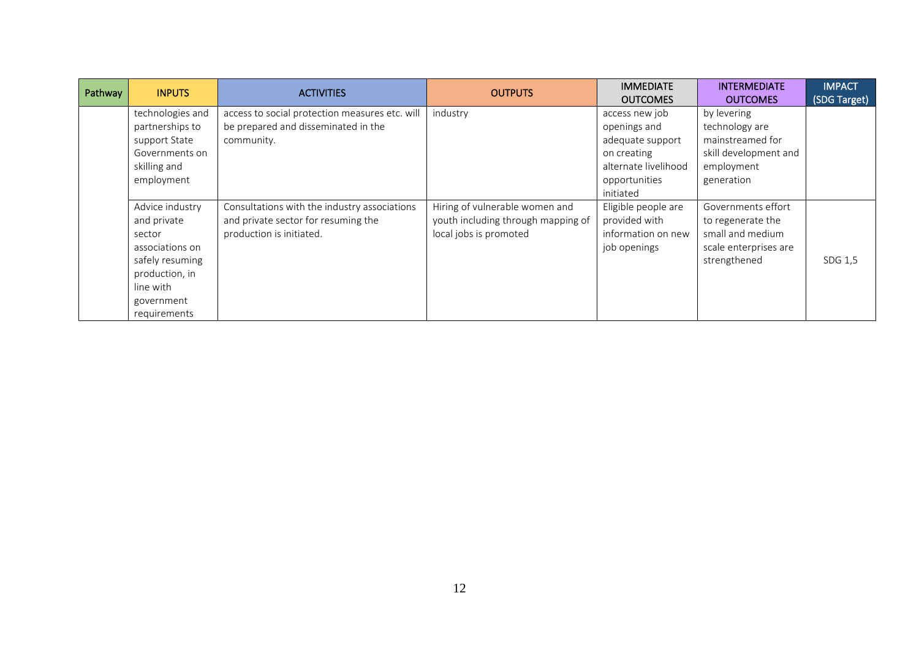| Pathway | <b>INPUTS</b>                                                                                                                               | <b>ACTIVITIES</b>                                                                                               | <b>OUTPUTS</b>                                                                                 | <b>IMMEDIATE</b><br><b>OUTCOMES</b>                                                                                     | <b>INTERMEDIATE</b><br><b>OUTCOMES</b>                                                                 | <b>IMPACT</b><br>(SDG Target) |
|---------|---------------------------------------------------------------------------------------------------------------------------------------------|-----------------------------------------------------------------------------------------------------------------|------------------------------------------------------------------------------------------------|-------------------------------------------------------------------------------------------------------------------------|--------------------------------------------------------------------------------------------------------|-------------------------------|
|         | technologies and<br>partnerships to<br>support State<br>Governments on<br>skilling and<br>employment                                        | access to social protection measures etc. will<br>be prepared and disseminated in the<br>community.             | industry                                                                                       | access new job<br>openings and<br>adequate support<br>on creating<br>alternate livelihood<br>opportunities<br>initiated | by levering<br>technology are<br>mainstreamed for<br>skill development and<br>employment<br>generation |                               |
|         | Advice industry<br>and private<br>sector<br>associations on<br>safely resuming<br>production, in<br>line with<br>government<br>requirements | Consultations with the industry associations<br>and private sector for resuming the<br>production is initiated. | Hiring of vulnerable women and<br>youth including through mapping of<br>local jobs is promoted | Eligible people are<br>provided with<br>information on new<br>job openings                                              | Governments effort<br>to regenerate the<br>small and medium<br>scale enterprises are<br>strengthened   | SDG 1,5                       |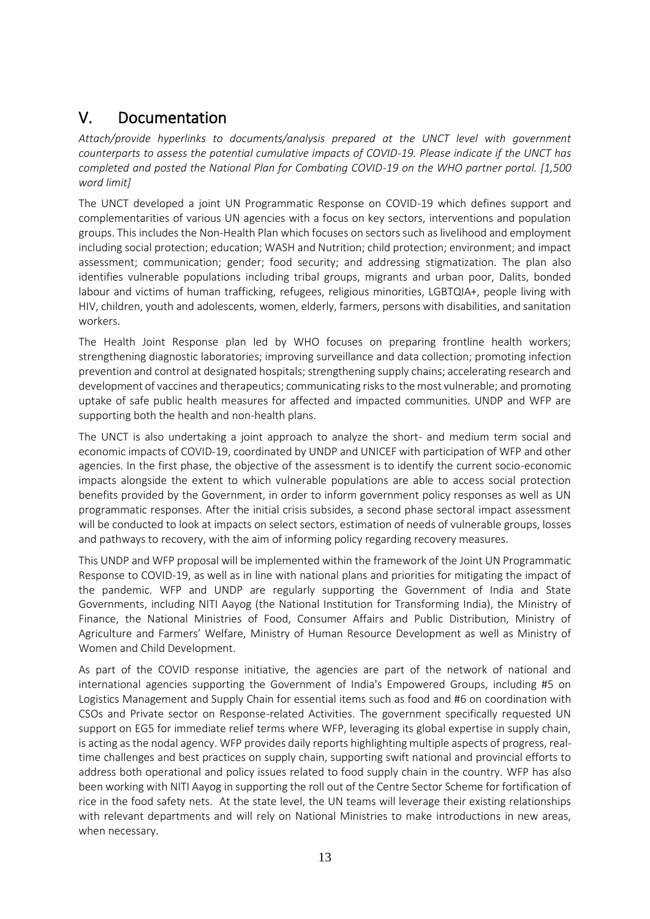## V. Documentation

*Attach/provide hyperlinks to documents/analysis prepared at the UNCT level with government counterparts to assess the potential cumulative impacts of COVID-19. Please indicate if the UNCT has completed and posted the National Plan for Combating COVID-19 on the WHO partner portal. [1,500 word limit]*

The UNCT developed a joint UN Programmatic Response on COVID-19 which defines support and complementarities of various UN agencies with a focus on key sectors, interventions and population groups. This includes the Non-Health Plan which focuses on sectors such as livelihood and employment including social protection; education; WASH and Nutrition; child protection; environment; and impact assessment; communication; gender; food security; and addressing stigmatization. The plan also identifies vulnerable populations including tribal groups, migrants and urban poor, Dalits, bonded labour and victims of human trafficking, refugees, religious minorities, LGBTQIA+, people living with HIV, children, youth and adolescents, women, elderly, farmers, persons with disabilities, and sanitation workers.

The Health Joint Response plan led by WHO focuses on preparing frontline health workers; strengthening diagnostic laboratories; improving surveillance and data collection; promoting infection prevention and control at designated hospitals; strengthening supply chains; accelerating research and development of vaccines and therapeutics; communicating risks to the most vulnerable; and promoting uptake of safe public health measures for affected and impacted communities. UNDP and WFP are supporting both the health and non-health plans.

The UNCT is also undertaking a joint approach to analyze the short- and medium term social and economic impacts of COVID-19, coordinated by UNDP and UNICEF with participation of WFP and other agencies. In the first phase, the objective of the assessment is to identify the current socio-economic impacts alongside the extent to which vulnerable populations are able to access social protection benefits provided by the Government, in order to inform government policy responses as well as UN programmatic responses. After the initial crisis subsides, a second phase sectoral impact assessment will be conducted to look at impacts on select sectors, estimation of needs of vulnerable groups, losses and pathways to recovery, with the aim of informing policy regarding recovery measures.

This UNDP and WFP proposal will be implemented within the framework of the Joint UN Programmatic Response to COVID-19, as well as in line with national plans and priorities for mitigating the impact of the pandemic. WFP and UNDP are regularly supporting the Government of India and State Governments, including NITI Aayog (the National Institution for Transforming India), the Ministry of Finance, the National Ministries of Food, Consumer Affairs and Public Distribution, Ministry of Agriculture and Farmers' Welfare, Ministry of Human Resource Development as well as Ministry of Women and Child Development.

As part of the COVID response initiative, the agencies are part of the network of national and international agencies supporting the Government of India's Empowered Groups, including #5 on Logistics Management and Supply Chain for essential items such as food and #6 on coordination with CSOs and Private sector on Response-related Activities. The government specifically requested UN support on EG5 for immediate relief terms where WFP, leveraging its global expertise in supply chain, is acting as the nodal agency. WFP provides daily reports highlighting multiple aspects of progress, realtime challenges and best practices on supply chain, supporting swift national and provincial efforts to address both operational and policy issues related to food supply chain in the country. WFP has also been working with NITI Aayog in supporting the roll out of the Centre Sector Scheme for fortification of rice in the food safety nets. At the state level, the UN teams will leverage their existing relationships with relevant departments and will rely on National Ministries to make introductions in new areas, when necessary.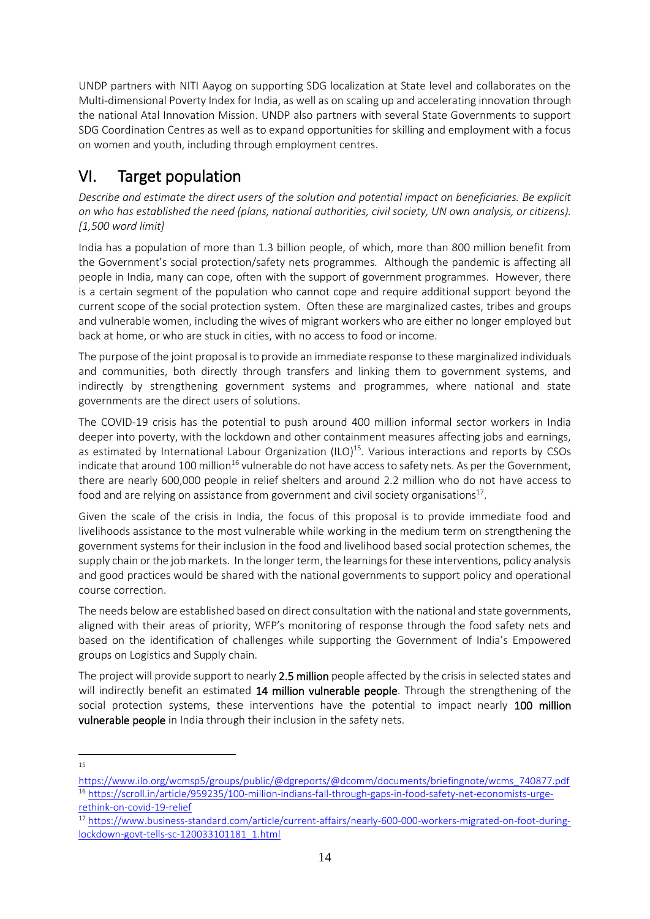UNDP partners with NITI Aayog on supporting SDG localization at State level and collaborates on the Multi-dimensional Poverty Index for India, as well as on scaling up and accelerating innovation through the national Atal Innovation Mission. UNDP also partners with several State Governments to support SDG Coordination Centres as well as to expand opportunities for skilling and employment with a focus on women and youth, including through employment centres.

# VI. Target population

*Describe and estimate the direct users of the solution and potential impact on beneficiaries. Be explicit on who has established the need (plans, national authorities, civil society, UN own analysis, or citizens). [1,500 word limit]*

India has a population of more than 1.3 billion people, of which, more than 800 million benefit from the Government's social protection/safety nets programmes. Although the pandemic is affecting all people in India, many can cope, often with the support of government programmes. However, there is a certain segment of the population who cannot cope and require additional support beyond the current scope of the social protection system. Often these are marginalized castes, tribes and groups and vulnerable women, including the wives of migrant workers who are either no longer employed but back at home, or who are stuck in cities, with no access to food or income.

The purpose of the joint proposal is to provide an immediate response to these marginalized individuals and communities, both directly through transfers and linking them to government systems, and indirectly by strengthening government systems and programmes, where national and state governments are the direct users of solutions.

The COVID-19 crisis has the potential to push around 400 million informal sector workers in India deeper into poverty, with the lockdown and other containment measures affecting jobs and earnings, as estimated by International Labour Organization  $(ILO)^{15}$ . Various interactions and reports by CSOs indicate that around 100 million<sup>16</sup> vulnerable do not have access to safety nets. As per the Government, there are nearly 600,000 people in relief shelters and around 2.2 million who do not have access to food and are relying on assistance from government and civil society organisations<sup>17</sup>.

Given the scale of the crisis in India, the focus of this proposal is to provide immediate food and livelihoods assistance to the most vulnerable while working in the medium term on strengthening the government systems for their inclusion in the food and livelihood based social protection schemes, the supply chain or the job markets. In the longer term, the learnings for these interventions, policy analysis and good practices would be shared with the national governments to support policy and operational course correction.

The needs below are established based on direct consultation with the national and state governments, aligned with their areas of priority, WFP's monitoring of response through the food safety nets and based on the identification of challenges while supporting the Government of India's Empowered groups on Logistics and Supply chain.

The project will provide support to nearly 2.5 million people affected by the crisis in selected states and will indirectly benefit an estimated 14 million vulnerable people. Through the strengthening of the social protection systems, these interventions have the potential to impact nearly 100 million vulnerable people in India through their inclusion in the safety nets.

<sup>15</sup>

[https://www.ilo.org/wcmsp5/groups/public/@dgreports/@dcomm/documents/briefingnote/wcms\\_740877.pdf](https://www.ilo.org/wcmsp5/groups/public/@dgreports/@dcomm/documents/briefingnote/wcms_740877.pdf) <sup>16</sup> [https://scroll.in/article/959235/100-million-indians-fall-through-gaps-in-food-safety-net-economists-urge](https://scroll.in/article/959235/100-million-indians-fall-through-gaps-in-food-safety-net-economists-urge-rethink-on-covid-19-relief)[rethink-on-covid-19-relief](https://scroll.in/article/959235/100-million-indians-fall-through-gaps-in-food-safety-net-economists-urge-rethink-on-covid-19-relief)

<sup>17</sup> [https://www.business-standard.com/article/current-affairs/nearly-600-000-workers-migrated-on-foot-during](https://www.business-standard.com/article/current-affairs/nearly-600-000-workers-migrated-on-foot-during-lockdown-govt-tells-sc-120033101181_1.html)[lockdown-govt-tells-sc-120033101181\\_1.html](https://www.business-standard.com/article/current-affairs/nearly-600-000-workers-migrated-on-foot-during-lockdown-govt-tells-sc-120033101181_1.html)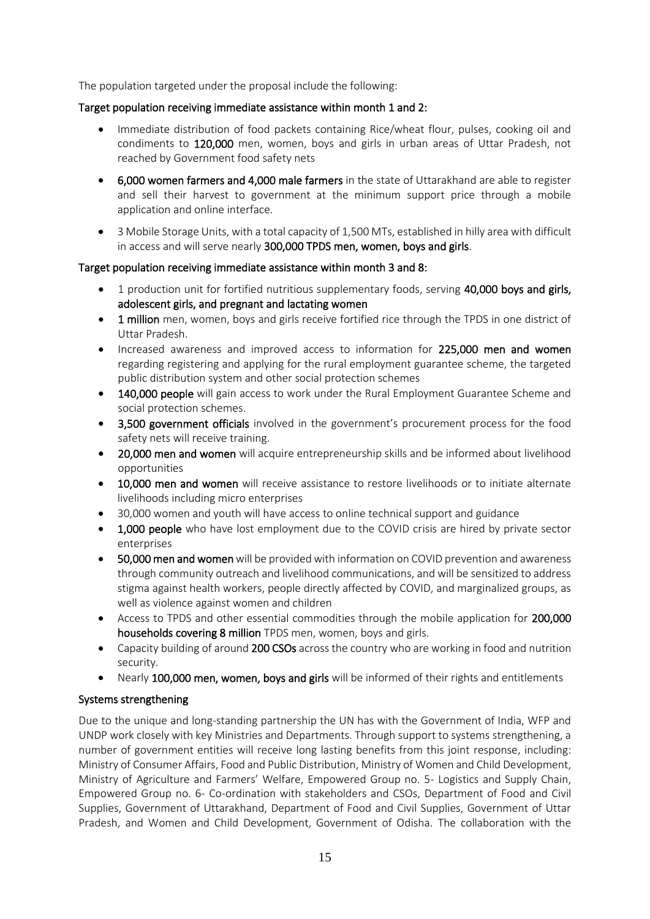The population targeted under the proposal include the following:

### Target population receiving immediate assistance within month 1 and 2:

- Immediate distribution of food packets containing Rice/wheat flour, pulses, cooking oil and condiments to 120,000 men, women, boys and girls in urban areas of Uttar Pradesh, not reached by Government food safety nets
- 6,000 women farmers and 4,000 male farmers in the state of Uttarakhand are able to register and sell their harvest to government at the minimum support price through a mobile application and online interface.
- 3 Mobile Storage Units, with a total capacity of 1,500 MTs, established in hilly area with difficult in access and will serve nearly 300,000 TPDS men, women, boys and girls.

#### Target population receiving immediate assistance within month 3 and 8:

- 1 production unit for fortified nutritious supplementary foods, serving 40,000 boys and girls, adolescent girls, and pregnant and lactating women
- 1 million men, women, boys and girls receive fortified rice through the TPDS in one district of Uttar Pradesh.
- Increased awareness and improved access to information for 225,000 men and women regarding registering and applying for the rural employment guarantee scheme, the targeted public distribution system and other social protection schemes
- 140,000 people will gain access to work under the Rural Employment Guarantee Scheme and social protection schemes.
- 3,500 government officials involved in the government's procurement process for the food safety nets will receive training.
- 20,000 men and women will acquire entrepreneurship skills and be informed about livelihood opportunities
- 10,000 men and women will receive assistance to restore livelihoods or to initiate alternate livelihoods including micro enterprises
- 30,000 women and youth will have access to online technical support and guidance
- 1,000 people who have lost employment due to the COVID crisis are hired by private sector enterprises
- 50,000 men and women will be provided with information on COVID prevention and awareness through community outreach and livelihood communications, and will be sensitized to address stigma against health workers, people directly affected by COVID, and marginalized groups, as well as violence against women and children
- Access to TPDS and other essential commodities through the mobile application for 200,000 households covering 8 million TPDS men, women, boys and girls.
- Capacity building of around 200 CSOs across the country who are working in food and nutrition security.
- Nearly 100,000 men, women, boys and girls will be informed of their rights and entitlements

### Systems strengthening

Due to the unique and long-standing partnership the UN has with the Government of India, WFP and UNDP work closely with key Ministries and Departments. Through support to systems strengthening, a number of government entities will receive long lasting benefits from this joint response, including: Ministry of Consumer Affairs, Food and Public Distribution, Ministry of Women and Child Development, Ministry of Agriculture and Farmers' Welfare, Empowered Group no. 5- Logistics and Supply Chain, Empowered Group no. 6- Co-ordination with stakeholders and CSOs, Department of Food and Civil Supplies, Government of Uttarakhand, Department of Food and Civil Supplies, Government of Uttar Pradesh, and Women and Child Development, Government of Odisha. The collaboration with the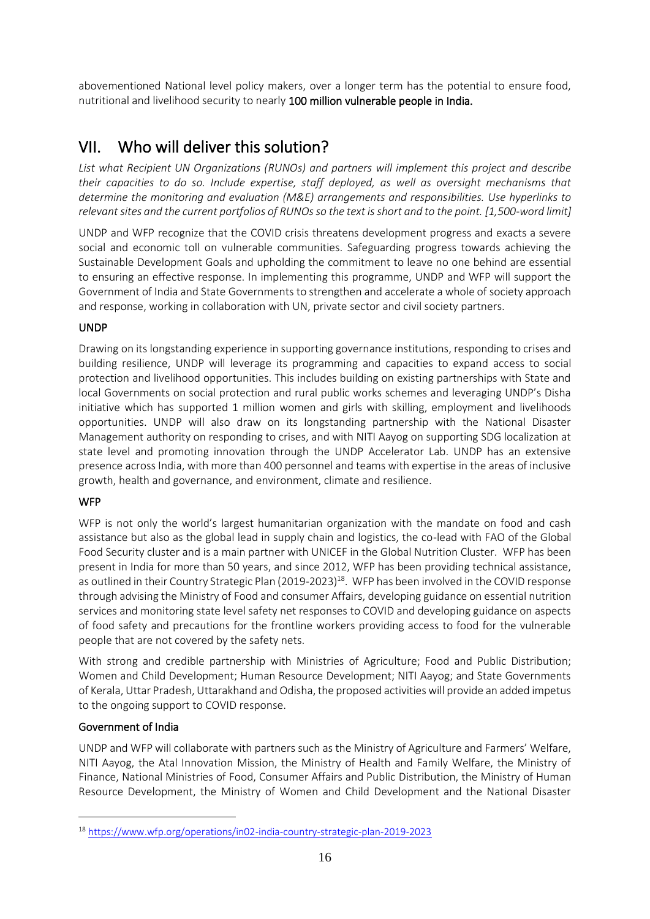abovementioned National level policy makers, over a longer term has the potential to ensure food, nutritional and livelihood security to nearly 100 million vulnerable people in India.

# VII. Who will deliver this solution?

*List what Recipient UN Organizations (RUNOs) and partners will implement this project and describe their capacities to do so. Include expertise, staff deployed, as well as oversight mechanisms that determine the monitoring and evaluation (M&E) arrangements and responsibilities. Use hyperlinks to relevant sites and the current portfolios of RUNOs so the text is short and to the point. [1,500-word limit]*

UNDP and WFP recognize that the COVID crisis threatens development progress and exacts a severe social and economic toll on vulnerable communities. Safeguarding progress towards achieving the Sustainable Development Goals and upholding the commitment to leave no one behind are essential to ensuring an effective response. In implementing this programme, UNDP and WFP will support the Government of India and State Governments to strengthen and accelerate a whole of society approach and response, working in collaboration with UN, private sector and civil society partners.

## UNDP

Drawing on its longstanding experience in supporting governance institutions, responding to crises and building resilience, UNDP will leverage its programming and capacities to expand access to social protection and livelihood opportunities. This includes building on existing partnerships with State and local Governments on social protection and rural public works schemes and leveraging UNDP's Disha initiative which has supported 1 million women and girls with skilling, employment and livelihoods opportunities. UNDP will also draw on its longstanding partnership with the National Disaster Management authority on responding to crises, and with NITI Aayog on supporting SDG localization at state level and promoting innovation through the UNDP Accelerator Lab. UNDP has an extensive presence across India, with more than 400 personnel and teams with expertise in the areas of inclusive growth, health and governance, and environment, climate and resilience.

## **WFP**

WFP is not only the world's largest humanitarian organization with the mandate on food and cash assistance but also as the global lead in supply chain and logistics, the co-lead with FAO of the Global Food Security cluster and is a main partner with UNICEF in the Global Nutrition Cluster. WFP has been present in India for more than 50 years, and since 2012, WFP has been providing technical assistance, as outlined in their Country Strategic Plan (2019-2023)<sup>18</sup>. WFP has been involved in the COVID response through advising the Ministry of Food and consumer Affairs, developing guidance on essential nutrition services and monitoring state level safety net responses to COVID and developing guidance on aspects of food safety and precautions for the frontline workers providing access to food for the vulnerable people that are not covered by the safety nets.

With strong and credible partnership with Ministries of Agriculture; Food and Public Distribution; Women and Child Development; Human Resource Development; NITI Aayog; and State Governments of Kerala, Uttar Pradesh, Uttarakhand and Odisha, the proposed activities will provide an added impetus to the ongoing support to COVID response.

## Government of India

UNDP and WFP will collaborate with partners such as the Ministry of Agriculture and Farmers' Welfare, NITI Aayog, the Atal Innovation Mission, the Ministry of Health and Family Welfare, the Ministry of Finance, National Ministries of Food, Consumer Affairs and Public Distribution, the Ministry of Human Resource Development, the Ministry of Women and Child Development and the National Disaster

<sup>18</sup> <https://www.wfp.org/operations/in02-india-country-strategic-plan-2019-2023>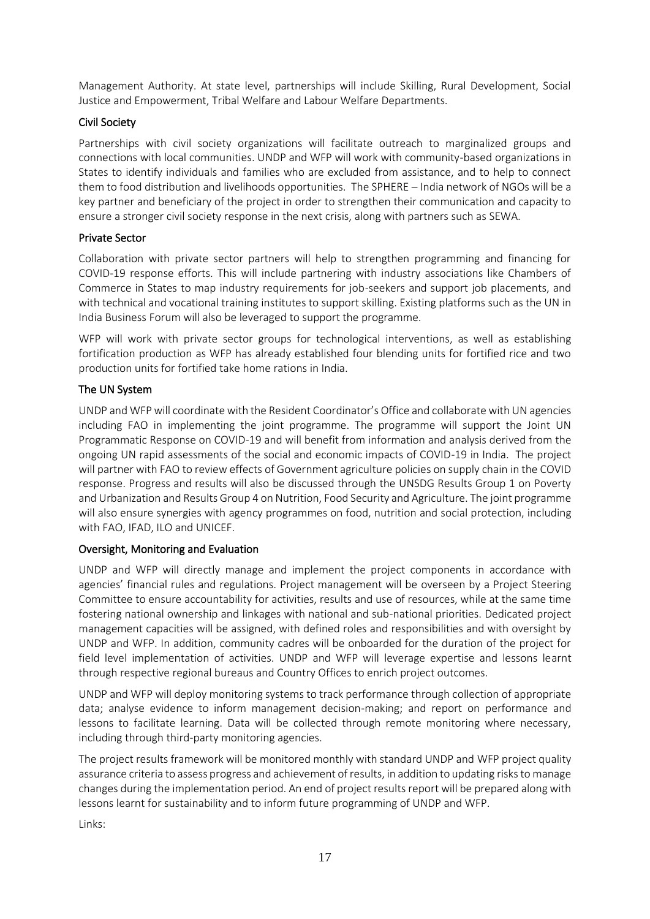Management Authority. At state level, partnerships will include Skilling, Rural Development, Social Justice and Empowerment, Tribal Welfare and Labour Welfare Departments.

### Civil Society

Partnerships with civil society organizations will facilitate outreach to marginalized groups and connections with local communities. UNDP and WFP will work with community-based organizations in States to identify individuals and families who are excluded from assistance, and to help to connect them to food distribution and livelihoods opportunities. The SPHERE – India network of NGOs will be a key partner and beneficiary of the project in order to strengthen their communication and capacity to ensure a stronger civil society response in the next crisis, along with partners such as SEWA.

### Private Sector

Collaboration with private sector partners will help to strengthen programming and financing for COVID-19 response efforts. This will include partnering with industry associations like Chambers of Commerce in States to map industry requirements for job-seekers and support job placements, and with technical and vocational training institutes to support skilling. Existing platforms such as the UN in India Business Forum will also be leveraged to support the programme.

WFP will work with private sector groups for technological interventions, as well as establishing fortification production as WFP has already established four blending units for fortified rice and two production units for fortified take home rations in India.

### The UN System

UNDP and WFP will coordinate with the Resident Coordinator's Office and collaborate with UN agencies including FAO in implementing the joint programme. The programme will support the Joint UN Programmatic Response on COVID-19 and will benefit from information and analysis derived from the ongoing UN rapid assessments of the social and economic impacts of COVID-19 in India. The project will partner with FAO to review effects of Government agriculture policies on supply chain in the COVID response. Progress and results will also be discussed through the UNSDG Results Group 1 on Poverty and Urbanization and Results Group 4 on Nutrition, Food Security and Agriculture. The joint programme will also ensure synergies with agency programmes on food, nutrition and social protection, including with FAO, IFAD, ILO and UNICEF.

### Oversight, Monitoring and Evaluation

UNDP and WFP will directly manage and implement the project components in accordance with agencies' financial rules and regulations. Project management will be overseen by a Project Steering Committee to ensure accountability for activities, results and use of resources, while at the same time fostering national ownership and linkages with national and sub-national priorities. Dedicated project management capacities will be assigned, with defined roles and responsibilities and with oversight by UNDP and WFP. In addition, community cadres will be onboarded for the duration of the project for field level implementation of activities. UNDP and WFP will leverage expertise and lessons learnt through respective regional bureaus and Country Offices to enrich project outcomes.

UNDP and WFP will deploy monitoring systems to track performance through collection of appropriate data; analyse evidence to inform management decision-making; and report on performance and lessons to facilitate learning. Data will be collected through remote monitoring where necessary, including through third-party monitoring agencies.

The project results framework will be monitored monthly with standard UNDP and WFP project quality assurance criteria to assess progress and achievement of results, in addition to updating risks to manage changes during the implementation period. An end of project results report will be prepared along with lessons learnt for sustainability and to inform future programming of UNDP and WFP.

Links: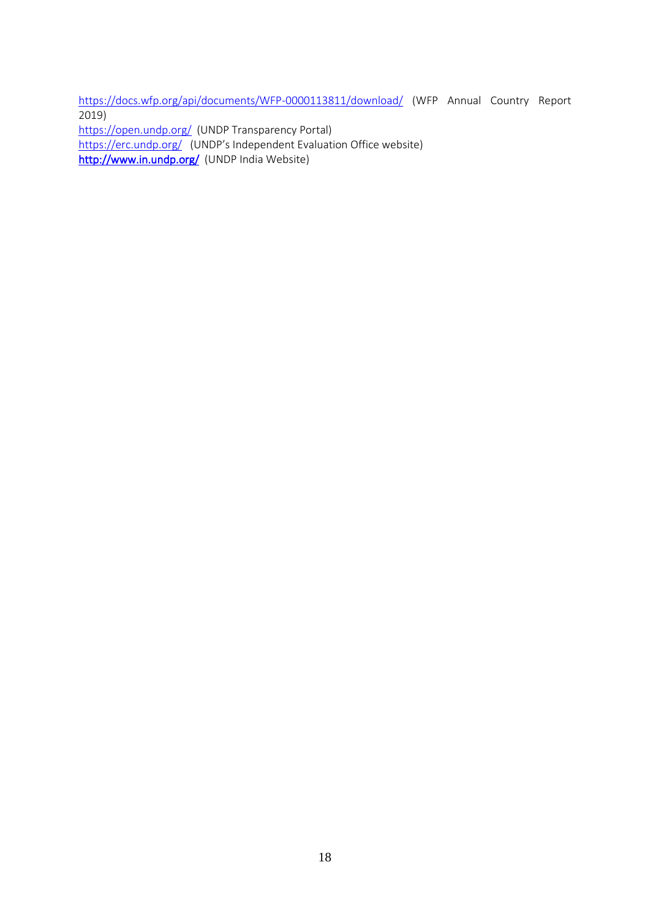<https://docs.wfp.org/api/documents/WFP-0000113811/download/> (WFP Annual Country Report 2019) [https://open.undp.org/](https://eur03.safelinks.protection.outlook.com/?url=https%3A%2F%2Fopen.undp.org%2F&data=02%7C01%7Ceric.kenefick%40wfp.org%7C5bd4121d368b49f8865508d7e76fb5f2%7C462ad9aed7d94206b87471b1e079776f%7C0%7C0%7C637232339291949715&sdata=vLxTi4xeXwpPt8SWOFb4krXcZnxa%2BP68X8cuyXmYteA%3D&reserved=0) (UNDP Transparency Portal)

[https://erc.undp.org/](https://eur03.safelinks.protection.outlook.com/?url=https%3A%2F%2Ferc.undp.org%2F&data=02%7C01%7Ceric.kenefick%40wfp.org%7C5bd4121d368b49f8865508d7e76fb5f2%7C462ad9aed7d94206b87471b1e079776f%7C0%7C0%7C637232339291949715&sdata=N3%2FhrmVzb8EfENa2Gp4Tawr1qYgU483Bj4zOQuM1dzc%3D&reserved=0) (UNDP's Independent Evaluation Office website)

[http://www.in.undp.org/](https://eur03.safelinks.protection.outlook.com/?url=http%3A%2F%2Fwww.in.undp.org%2F&data=02%7C01%7Ceric.kenefick%40wfp.org%7C5bd4121d368b49f8865508d7e76fb5f2%7C462ad9aed7d94206b87471b1e079776f%7C0%7C0%7C637232339291959712&sdata=ulCud1TcAh6chLpajLOmMDmLyuY4WkEY4yttm8NoHT4%3D&reserved=0) (UNDP India Website)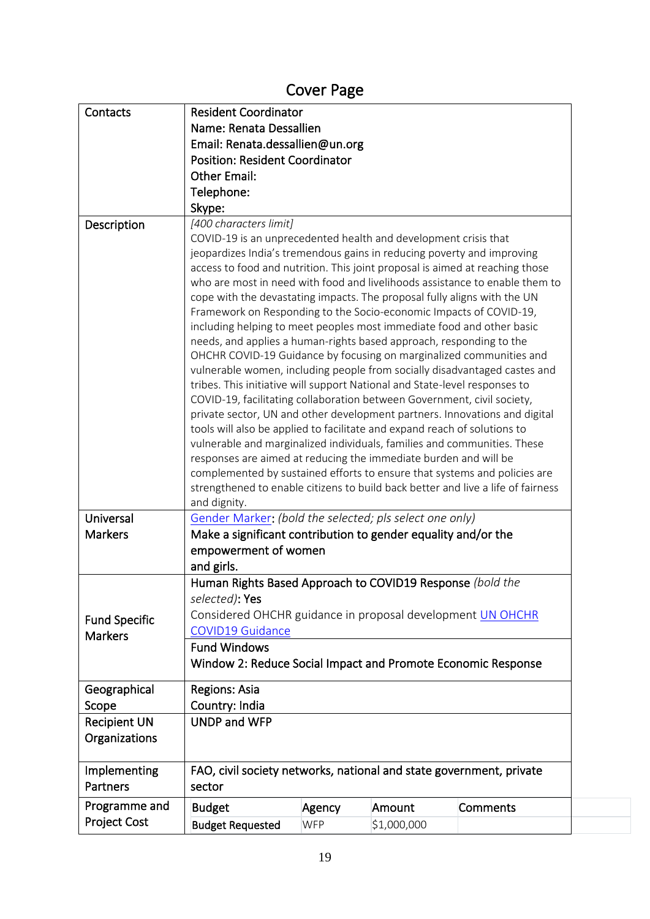# Cover Page

| Contacts                               | <b>Resident Coordinator</b>                                                                                                                                                                                                                                                                                                                                                                                                                                                                                                                                                                                                                                                                                                                                                                                                                                                                                                                                                                                                                                                                                                                                                                                                                                                                                                                                                                                         |              |             |          |  |  |  |  |  |
|----------------------------------------|---------------------------------------------------------------------------------------------------------------------------------------------------------------------------------------------------------------------------------------------------------------------------------------------------------------------------------------------------------------------------------------------------------------------------------------------------------------------------------------------------------------------------------------------------------------------------------------------------------------------------------------------------------------------------------------------------------------------------------------------------------------------------------------------------------------------------------------------------------------------------------------------------------------------------------------------------------------------------------------------------------------------------------------------------------------------------------------------------------------------------------------------------------------------------------------------------------------------------------------------------------------------------------------------------------------------------------------------------------------------------------------------------------------------|--------------|-------------|----------|--|--|--|--|--|
|                                        | Name: Renata Dessallien                                                                                                                                                                                                                                                                                                                                                                                                                                                                                                                                                                                                                                                                                                                                                                                                                                                                                                                                                                                                                                                                                                                                                                                                                                                                                                                                                                                             |              |             |          |  |  |  |  |  |
|                                        | Email: Renata.dessallien@un.org                                                                                                                                                                                                                                                                                                                                                                                                                                                                                                                                                                                                                                                                                                                                                                                                                                                                                                                                                                                                                                                                                                                                                                                                                                                                                                                                                                                     |              |             |          |  |  |  |  |  |
|                                        | <b>Position: Resident Coordinator</b>                                                                                                                                                                                                                                                                                                                                                                                                                                                                                                                                                                                                                                                                                                                                                                                                                                                                                                                                                                                                                                                                                                                                                                                                                                                                                                                                                                               |              |             |          |  |  |  |  |  |
|                                        | <b>Other Email:</b>                                                                                                                                                                                                                                                                                                                                                                                                                                                                                                                                                                                                                                                                                                                                                                                                                                                                                                                                                                                                                                                                                                                                                                                                                                                                                                                                                                                                 |              |             |          |  |  |  |  |  |
|                                        | Telephone:                                                                                                                                                                                                                                                                                                                                                                                                                                                                                                                                                                                                                                                                                                                                                                                                                                                                                                                                                                                                                                                                                                                                                                                                                                                                                                                                                                                                          |              |             |          |  |  |  |  |  |
|                                        | Skype:                                                                                                                                                                                                                                                                                                                                                                                                                                                                                                                                                                                                                                                                                                                                                                                                                                                                                                                                                                                                                                                                                                                                                                                                                                                                                                                                                                                                              |              |             |          |  |  |  |  |  |
| Description                            | [400 characters limit]                                                                                                                                                                                                                                                                                                                                                                                                                                                                                                                                                                                                                                                                                                                                                                                                                                                                                                                                                                                                                                                                                                                                                                                                                                                                                                                                                                                              |              |             |          |  |  |  |  |  |
|                                        | COVID-19 is an unprecedented health and development crisis that<br>jeopardizes India's tremendous gains in reducing poverty and improving<br>access to food and nutrition. This joint proposal is aimed at reaching those<br>who are most in need with food and livelihoods assistance to enable them to<br>cope with the devastating impacts. The proposal fully aligns with the UN<br>Framework on Responding to the Socio-economic Impacts of COVID-19,<br>including helping to meet peoples most immediate food and other basic<br>needs, and applies a human-rights based approach, responding to the<br>OHCHR COVID-19 Guidance by focusing on marginalized communities and<br>vulnerable women, including people from socially disadvantaged castes and<br>tribes. This initiative will support National and State-level responses to<br>COVID-19, facilitating collaboration between Government, civil society,<br>private sector, UN and other development partners. Innovations and digital<br>tools will also be applied to facilitate and expand reach of solutions to<br>vulnerable and marginalized individuals, families and communities. These<br>responses are aimed at reducing the immediate burden and will be<br>complemented by sustained efforts to ensure that systems and policies are<br>strengthened to enable citizens to build back better and live a life of fairness<br>and dignity. |              |             |          |  |  |  |  |  |
| Universal                              | Gender Marker: (bold the selected; pls select one only)                                                                                                                                                                                                                                                                                                                                                                                                                                                                                                                                                                                                                                                                                                                                                                                                                                                                                                                                                                                                                                                                                                                                                                                                                                                                                                                                                             |              |             |          |  |  |  |  |  |
| <b>Markers</b>                         | Make a significant contribution to gender equality and/or the                                                                                                                                                                                                                                                                                                                                                                                                                                                                                                                                                                                                                                                                                                                                                                                                                                                                                                                                                                                                                                                                                                                                                                                                                                                                                                                                                       |              |             |          |  |  |  |  |  |
|                                        | empowerment of women                                                                                                                                                                                                                                                                                                                                                                                                                                                                                                                                                                                                                                                                                                                                                                                                                                                                                                                                                                                                                                                                                                                                                                                                                                                                                                                                                                                                |              |             |          |  |  |  |  |  |
|                                        | and girls.                                                                                                                                                                                                                                                                                                                                                                                                                                                                                                                                                                                                                                                                                                                                                                                                                                                                                                                                                                                                                                                                                                                                                                                                                                                                                                                                                                                                          |              |             |          |  |  |  |  |  |
| <b>Fund Specific</b><br><b>Markers</b> | Human Rights Based Approach to COVID19 Response (bold the<br>selected): Yes<br>Considered OHCHR guidance in proposal development UN OHCHR<br><b>COVID19 Guidance</b><br><b>Fund Windows</b><br>Window 2: Reduce Social Impact and Promote Economic Response                                                                                                                                                                                                                                                                                                                                                                                                                                                                                                                                                                                                                                                                                                                                                                                                                                                                                                                                                                                                                                                                                                                                                         |              |             |          |  |  |  |  |  |
| Geographical                           | Regions: Asia                                                                                                                                                                                                                                                                                                                                                                                                                                                                                                                                                                                                                                                                                                                                                                                                                                                                                                                                                                                                                                                                                                                                                                                                                                                                                                                                                                                                       |              |             |          |  |  |  |  |  |
| Scope                                  | Country: India                                                                                                                                                                                                                                                                                                                                                                                                                                                                                                                                                                                                                                                                                                                                                                                                                                                                                                                                                                                                                                                                                                                                                                                                                                                                                                                                                                                                      |              |             |          |  |  |  |  |  |
| <b>Recipient UN</b><br>Organizations   |                                                                                                                                                                                                                                                                                                                                                                                                                                                                                                                                                                                                                                                                                                                                                                                                                                                                                                                                                                                                                                                                                                                                                                                                                                                                                                                                                                                                                     | UNDP and WFP |             |          |  |  |  |  |  |
| Implementing<br>Partners               | FAO, civil society networks, national and state government, private<br>sector                                                                                                                                                                                                                                                                                                                                                                                                                                                                                                                                                                                                                                                                                                                                                                                                                                                                                                                                                                                                                                                                                                                                                                                                                                                                                                                                       |              |             |          |  |  |  |  |  |
| Programme and                          | <b>Budget</b>                                                                                                                                                                                                                                                                                                                                                                                                                                                                                                                                                                                                                                                                                                                                                                                                                                                                                                                                                                                                                                                                                                                                                                                                                                                                                                                                                                                                       | Agency       | Amount      | Comments |  |  |  |  |  |
| <b>Project Cost</b>                    | <b>Budget Requested</b>                                                                                                                                                                                                                                                                                                                                                                                                                                                                                                                                                                                                                                                                                                                                                                                                                                                                                                                                                                                                                                                                                                                                                                                                                                                                                                                                                                                             | <b>WFP</b>   | \$1,000,000 |          |  |  |  |  |  |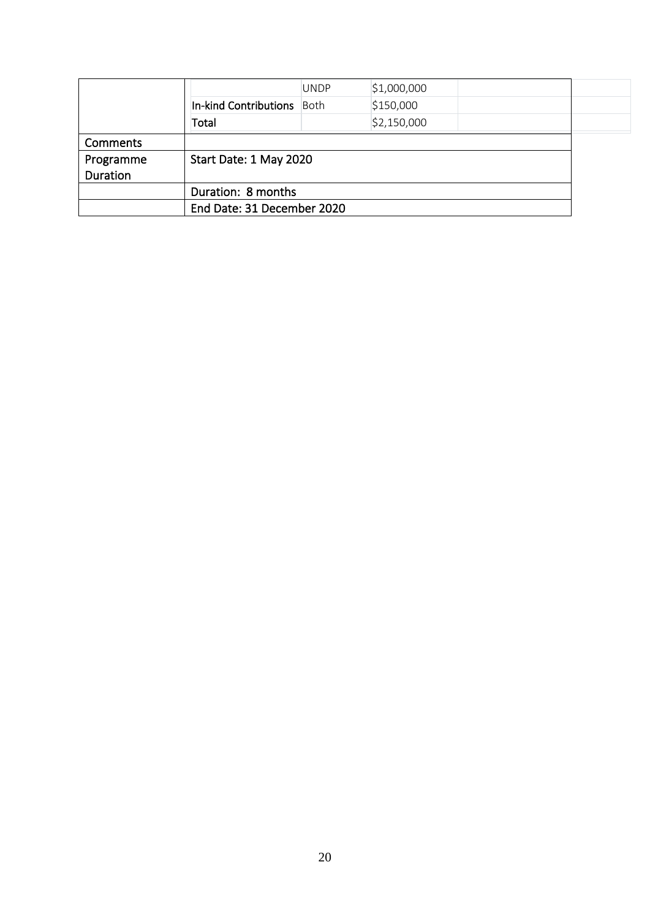|           |                            | <b>UNDP</b> | \$1,000,000 |  |  |  |  |
|-----------|----------------------------|-------------|-------------|--|--|--|--|
|           | In-kind Contributions      | Both        | \$150,000   |  |  |  |  |
|           | Total                      |             | \$2,150,000 |  |  |  |  |
| Comments  |                            |             |             |  |  |  |  |
| Programme | Start Date: 1 May 2020     |             |             |  |  |  |  |
| Duration  |                            |             |             |  |  |  |  |
|           | Duration: 8 months         |             |             |  |  |  |  |
|           | End Date: 31 December 2020 |             |             |  |  |  |  |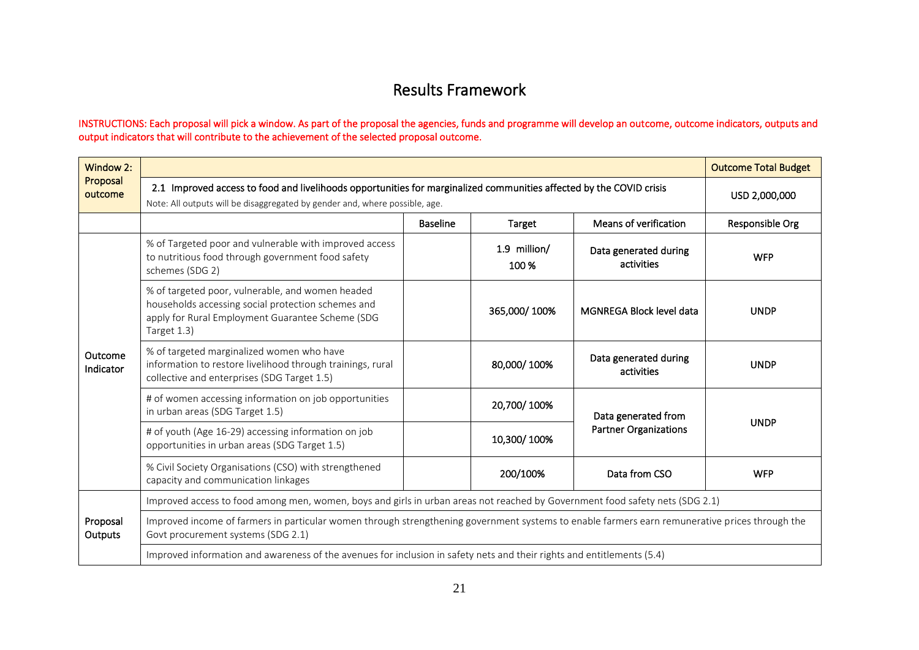# Results Framework

#### INSTRUCTIONS: Each proposal will pick a window. As part of the proposal the agencies, funds and programme will develop an outcome, outcome indicators, outputs and output indicators that will contribute to the achievement of the selected proposal outcome.

| Window 2:            |                                                                                                                                                                                                    |                 |                       |                                     | <b>Outcome Total Budget</b> |  |  |
|----------------------|----------------------------------------------------------------------------------------------------------------------------------------------------------------------------------------------------|-----------------|-----------------------|-------------------------------------|-----------------------------|--|--|
| Proposal<br>outcome  | 2.1 Improved access to food and livelihoods opportunities for marginalized communities affected by the COVID crisis<br>Note: All outputs will be disaggregated by gender and, where possible, age. | USD 2,000,000   |                       |                                     |                             |  |  |
|                      |                                                                                                                                                                                                    | Responsible Org |                       |                                     |                             |  |  |
|                      | % of Targeted poor and vulnerable with improved access<br>to nutritious food through government food safety<br>schemes (SDG 2)                                                                     |                 | 1.9 million/<br>100 % | Data generated during<br>activities | <b>WFP</b>                  |  |  |
|                      | % of targeted poor, vulnerable, and women headed<br>households accessing social protection schemes and<br>apply for Rural Employment Guarantee Scheme (SDG<br>Target 1.3)                          |                 | 365,000/100%          | MGNREGA Block level data            | <b>UNDP</b>                 |  |  |
| Outcome<br>Indicator | % of targeted marginalized women who have<br>information to restore livelihood through trainings, rural<br>collective and enterprises (SDG Target 1.5)                                             |                 | 80,000/100%           | Data generated during<br>activities | <b>UNDP</b>                 |  |  |
|                      | # of women accessing information on job opportunities<br>in urban areas (SDG Target 1.5)                                                                                                           |                 | 20,700/100%           | Data generated from                 | <b>UNDP</b>                 |  |  |
|                      | # of youth (Age 16-29) accessing information on job<br>opportunities in urban areas (SDG Target 1.5)                                                                                               |                 | 10,300/100%           | <b>Partner Organizations</b>        |                             |  |  |
|                      | % Civil Society Organisations (CSO) with strengthened<br>capacity and communication linkages                                                                                                       |                 | 200/100%              | Data from CSO                       | <b>WFP</b>                  |  |  |
|                      | Improved access to food among men, women, boys and girls in urban areas not reached by Government food safety nets (SDG 2.1)                                                                       |                 |                       |                                     |                             |  |  |
| Proposal<br>Outputs  | Improved income of farmers in particular women through strengthening government systems to enable farmers earn remunerative prices through the<br>Govt procurement systems (SDG 2.1)               |                 |                       |                                     |                             |  |  |
|                      | Improved information and awareness of the avenues for inclusion in safety nets and their rights and entitlements (5.4)                                                                             |                 |                       |                                     |                             |  |  |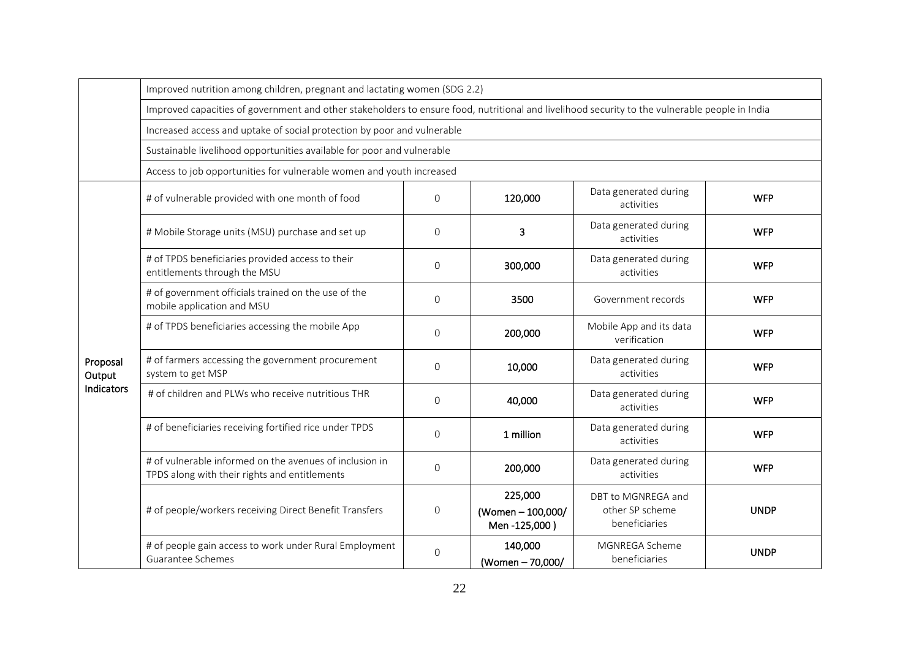|                    | Improved nutrition among children, pregnant and lactating women (SDG 2.2)                                                                      |              |                                            |                                                        |             |  |  |  |  |
|--------------------|------------------------------------------------------------------------------------------------------------------------------------------------|--------------|--------------------------------------------|--------------------------------------------------------|-------------|--|--|--|--|
|                    | Improved capacities of government and other stakeholders to ensure food, nutritional and livelihood security to the vulnerable people in India |              |                                            |                                                        |             |  |  |  |  |
|                    | Increased access and uptake of social protection by poor and vulnerable                                                                        |              |                                            |                                                        |             |  |  |  |  |
|                    | Sustainable livelihood opportunities available for poor and vulnerable                                                                         |              |                                            |                                                        |             |  |  |  |  |
|                    | Access to job opportunities for vulnerable women and youth increased                                                                           |              |                                            |                                                        |             |  |  |  |  |
|                    | # of vulnerable provided with one month of food                                                                                                | $\mathbf{O}$ | 120,000                                    | Data generated during<br>activities                    | <b>WFP</b>  |  |  |  |  |
|                    | # Mobile Storage units (MSU) purchase and set up                                                                                               | $\Omega$     | 3                                          | Data generated during<br>activities                    | <b>WFP</b>  |  |  |  |  |
|                    | # of TPDS beneficiaries provided access to their<br>entitlements through the MSU                                                               | $\Omega$     | 300,000                                    | Data generated during<br>activities                    | <b>WFP</b>  |  |  |  |  |
|                    | # of government officials trained on the use of the<br>mobile application and MSU                                                              | $\mathbf{0}$ | 3500                                       | Government records                                     | <b>WFP</b>  |  |  |  |  |
|                    | # of TPDS beneficiaries accessing the mobile App<br>$\Omega$                                                                                   |              | 200,000                                    | Mobile App and its data<br>verification                | <b>WFP</b>  |  |  |  |  |
| Proposal<br>Output | # of farmers accessing the government procurement<br>system to get MSP                                                                         | $\Omega$     | 10,000                                     | Data generated during<br>activities                    | <b>WFP</b>  |  |  |  |  |
| Indicators         | # of children and PLWs who receive nutritious THR                                                                                              | $\Omega$     | 40,000                                     | Data generated during<br>activities                    | <b>WFP</b>  |  |  |  |  |
|                    | # of beneficiaries receiving fortified rice under TPDS                                                                                         | $\mathbf{0}$ | 1 million                                  | Data generated during<br>activities                    | <b>WFP</b>  |  |  |  |  |
|                    | # of vulnerable informed on the avenues of inclusion in<br>TPDS along with their rights and entitlements                                       | $\Omega$     | 200,000                                    | Data generated during<br>activities                    | <b>WFP</b>  |  |  |  |  |
|                    | # of people/workers receiving Direct Benefit Transfers                                                                                         | 0            | 225,000<br>(Women-100,000/<br>Men-125,000) | DBT to MGNREGA and<br>other SP scheme<br>beneficiaries | <b>UNDP</b> |  |  |  |  |
|                    | # of people gain access to work under Rural Employment<br>Guarantee Schemes                                                                    | $\mathbf{0}$ | 140,000<br>(Women - 70,000/                | MGNREGA Scheme<br>beneficiaries                        | <b>UNDP</b> |  |  |  |  |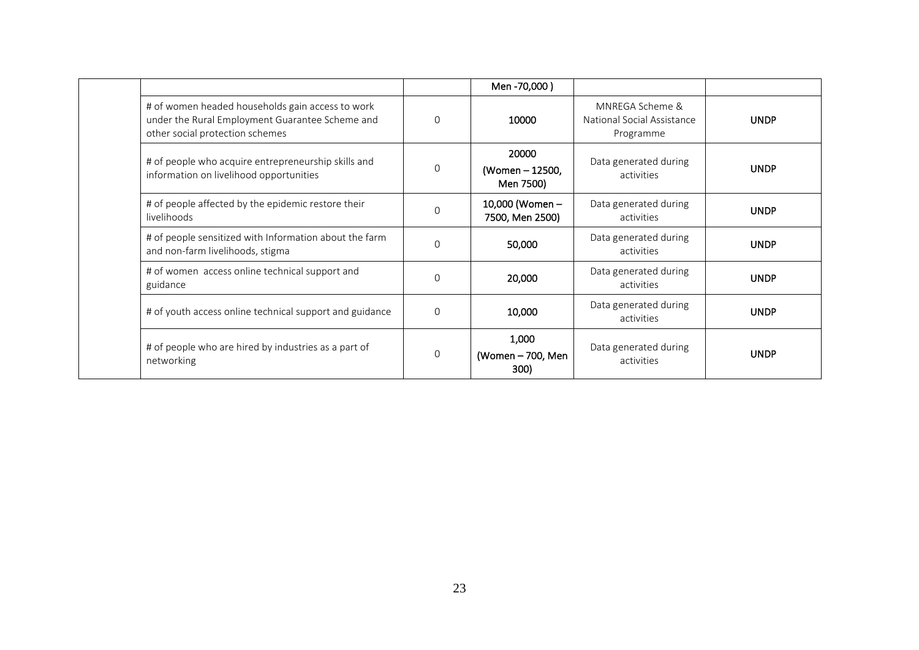|                                                                                                                                        |          | Men -70,000)                          |                                                            |             |
|----------------------------------------------------------------------------------------------------------------------------------------|----------|---------------------------------------|------------------------------------------------------------|-------------|
| # of women headed households gain access to work<br>under the Rural Employment Guarantee Scheme and<br>other social protection schemes | $\Omega$ | 10000                                 | MNREGA Scheme &<br>National Social Assistance<br>Programme | <b>UNDP</b> |
| # of people who acquire entrepreneurship skills and<br>information on livelihood opportunities                                         | $\Omega$ | 20000<br>(Women - 12500,<br>Men 7500) | Data generated during<br>activities                        | <b>UNDP</b> |
| # of people affected by the epidemic restore their<br>livelihoods                                                                      | $\Omega$ | 10,000 (Women -<br>7500, Men 2500)    | Data generated during<br>activities                        | <b>UNDP</b> |
| # of people sensitized with Information about the farm<br>and non-farm livelihoods, stigma                                             | $\Omega$ | 50,000                                | Data generated during<br>activities                        | <b>UNDP</b> |
| # of women access online technical support and<br>guidance                                                                             | $\Omega$ | 20,000                                | Data generated during<br>activities                        | <b>UNDP</b> |
| # of youth access online technical support and guidance                                                                                | $\Omega$ | 10,000                                | Data generated during<br>activities                        | <b>UNDP</b> |
| # of people who are hired by industries as a part of<br>networking                                                                     | $\Omega$ | 1,000<br>(Women - 700, Men<br>300)    | Data generated during<br>activities                        | <b>UNDP</b> |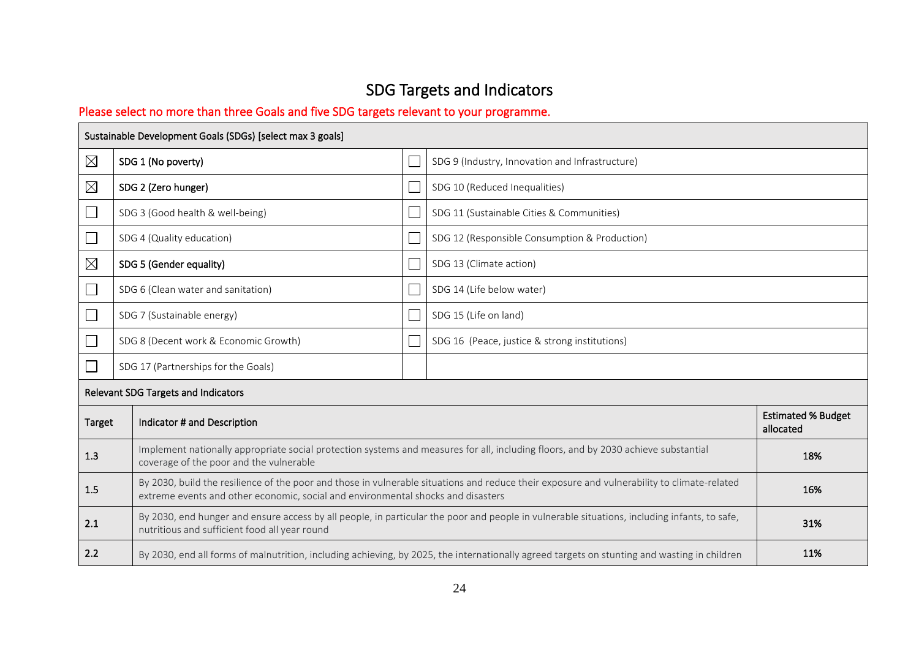# SDG Targets and Indicators

# Please select no more than three Goals and five SDG targets relevant to your programme.

|             | Sustainable Development Goals (SDGs) [select max 3 goals]                                                                                                                                                                       |                               |                                                                                                                                              |                                        |  |  |
|-------------|---------------------------------------------------------------------------------------------------------------------------------------------------------------------------------------------------------------------------------|-------------------------------|----------------------------------------------------------------------------------------------------------------------------------------------|----------------------------------------|--|--|
| $\boxtimes$ | SDG 1 (No poverty)                                                                                                                                                                                                              |                               | SDG 9 (Industry, Innovation and Infrastructure)                                                                                              |                                        |  |  |
| $\boxtimes$ | SDG 2 (Zero hunger)                                                                                                                                                                                                             | SDG 10 (Reduced Inequalities) |                                                                                                                                              |                                        |  |  |
| $\Box$      | SDG 3 (Good health & well-being)                                                                                                                                                                                                |                               | SDG 11 (Sustainable Cities & Communities)                                                                                                    |                                        |  |  |
|             | SDG 4 (Quality education)                                                                                                                                                                                                       |                               | SDG 12 (Responsible Consumption & Production)                                                                                                |                                        |  |  |
| $\boxtimes$ | SDG 5 (Gender equality)                                                                                                                                                                                                         |                               | SDG 13 (Climate action)                                                                                                                      |                                        |  |  |
|             | SDG 6 (Clean water and sanitation)                                                                                                                                                                                              |                               | SDG 14 (Life below water)                                                                                                                    |                                        |  |  |
|             | SDG 7 (Sustainable energy)<br>SDG 15 (Life on land)                                                                                                                                                                             |                               |                                                                                                                                              |                                        |  |  |
|             | SDG 8 (Decent work & Economic Growth)<br>SDG 16 (Peace, justice & strong institutions)                                                                                                                                          |                               |                                                                                                                                              |                                        |  |  |
|             | SDG 17 (Partnerships for the Goals)                                                                                                                                                                                             |                               |                                                                                                                                              |                                        |  |  |
|             | Relevant SDG Targets and Indicators                                                                                                                                                                                             |                               |                                                                                                                                              |                                        |  |  |
| Target      | Indicator # and Description                                                                                                                                                                                                     |                               |                                                                                                                                              | <b>Estimated % Budget</b><br>allocated |  |  |
| 1.3         | Implement nationally appropriate social protection systems and measures for all, including floors, and by 2030 achieve substantial<br>coverage of the poor and the vulnerable                                                   | 18%                           |                                                                                                                                              |                                        |  |  |
| 1.5         | By 2030, build the resilience of the poor and those in vulnerable situations and reduce their exposure and vulnerability to climate-related<br>extreme events and other economic, social and environmental shocks and disasters |                               |                                                                                                                                              |                                        |  |  |
| 2.1         | By 2030, end hunger and ensure access by all people, in particular the poor and people in vulnerable situations, including infants, to safe,<br>nutritious and sufficient food all year round                                   |                               |                                                                                                                                              |                                        |  |  |
| 2.2         |                                                                                                                                                                                                                                 |                               | By 2030, end all forms of malnutrition, including achieving, by 2025, the internationally agreed targets on stunting and wasting in children | 11%                                    |  |  |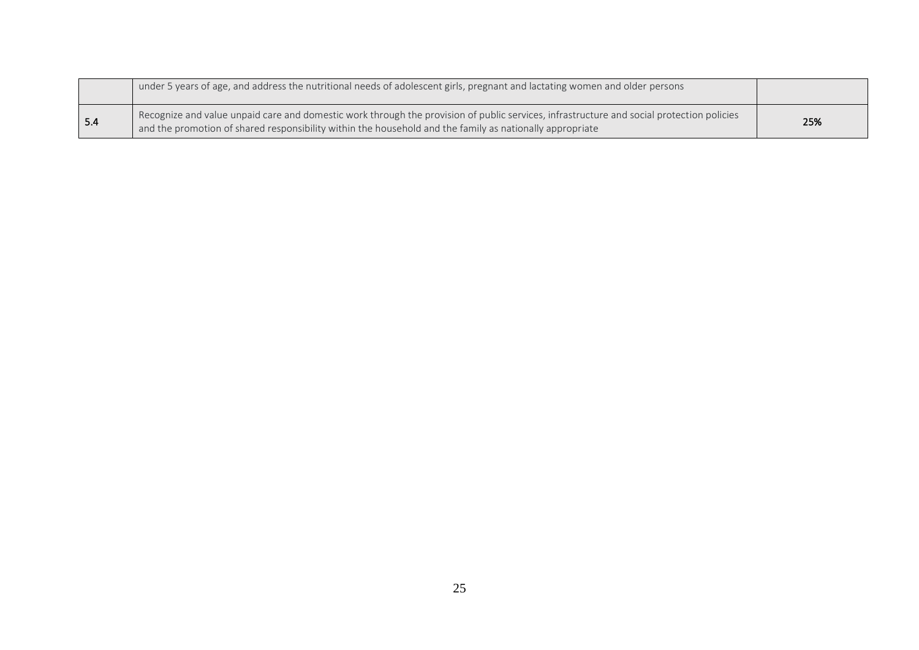|     | under 5 years of age, and address the nutritional needs of adolescent girls, pregnant and lactating women and older persons                                                                                                                           |     |
|-----|-------------------------------------------------------------------------------------------------------------------------------------------------------------------------------------------------------------------------------------------------------|-----|
| 5.4 | Recognize and value unpaid care and domestic work through the provision of public services, infrastructure and social protection policies<br>and the promotion of shared responsibility within the household and the family as nationally appropriate | 25% |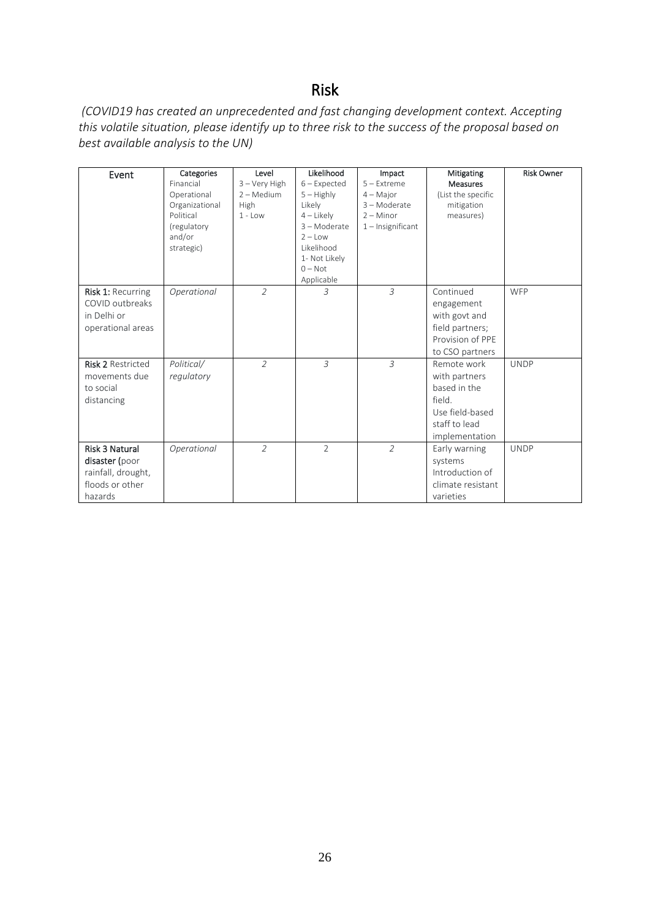# Risk

*(COVID19 has created an unprecedented and fast changing development context. Accepting this volatile situation, please identify up to three risk to the success of the proposal based on best available analysis to the UN)*

| Event                    | Categories     | Level          | Likelihood     | Impact              | Mitigating         | <b>Risk Owner</b> |
|--------------------------|----------------|----------------|----------------|---------------------|--------------------|-------------------|
|                          | Financial      | 3 - Very High  | $6$ – Expected | $5 -$ Extreme       | <b>Measures</b>    |                   |
|                          | Operational    | $2 - Medium$   | $5 -$ Highly   | $4 -$ Major         | (List the specific |                   |
|                          | Organizational | High           | Likely         | 3-Moderate          | mitigation         |                   |
|                          | Political      | $1 - Low$      | $4$ – Likely   | $2 -$ Minor         | measures)          |                   |
|                          | (regulatory    |                | 3-Moderate     | $1$ – Insignificant |                    |                   |
|                          | and/or         |                | $2 - Low$      |                     |                    |                   |
|                          | strategic)     |                | Likelihood     |                     |                    |                   |
|                          |                |                | 1- Not Likely  |                     |                    |                   |
|                          |                |                | $0 - Not$      |                     |                    |                   |
|                          |                |                | Applicable     |                     |                    |                   |
| <b>Risk 1: Recurring</b> | Operational    | $\overline{2}$ | 3              | $\overline{3}$      | Continued          | WFP               |
| COVID outbreaks          |                |                |                |                     | engagement         |                   |
| in Delhi or              |                |                |                |                     | with govt and      |                   |
| operational areas        |                |                |                |                     | field partners;    |                   |
|                          |                |                |                |                     | Provision of PPE   |                   |
|                          |                |                |                |                     | to CSO partners    |                   |
| <b>Risk 2 Restricted</b> | Political/     | $\overline{2}$ | $\overline{3}$ | $\overline{3}$      | Remote work        | <b>UNDP</b>       |
| movements due            | regulatory     |                |                |                     | with partners      |                   |
| to social                |                |                |                |                     | based in the       |                   |
| distancing               |                |                |                |                     | field.             |                   |
|                          |                |                |                |                     | Use field-based    |                   |
|                          |                |                |                |                     | staff to lead      |                   |
|                          |                |                |                |                     |                    |                   |
|                          |                |                |                |                     | implementation     |                   |
| <b>Risk 3 Natural</b>    | Operational    | $\overline{2}$ | $\overline{2}$ | $\overline{2}$      | Early warning      | <b>UNDP</b>       |
| disaster (poor           |                |                |                |                     | systems            |                   |
| rainfall, drought,       |                |                |                |                     | Introduction of    |                   |
| floods or other          |                |                |                |                     | climate resistant  |                   |
| hazards                  |                |                |                |                     | varieties          |                   |